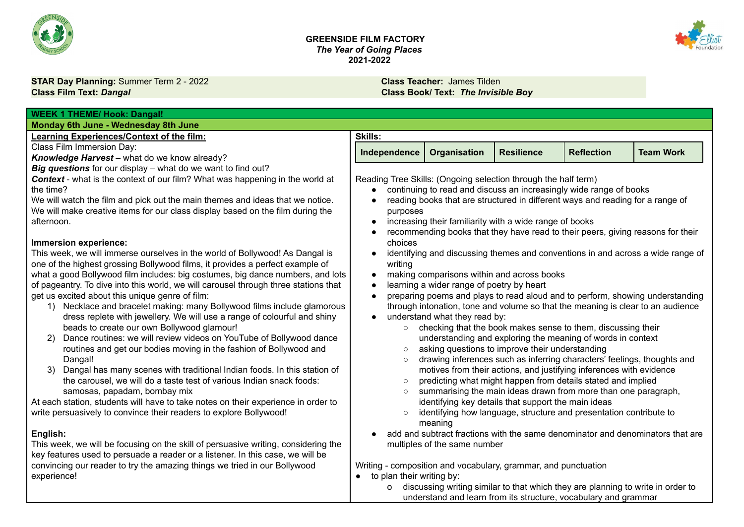



**STAR Day Planning:** Summer Term 2 - 2022 **Class Teacher:** James Tilden Class Teacher: James Tilden Class Feacher: James Tilden Class Feacher: James Tilden Class Feacher: James Tilden Class Book/ Text: The Invisi

**Class Film Text:** *Dangal* **Class Book/ Text:** *The Invisible Boy*

| <b>WEEK 1 THEME/ Hook: Dangal!</b>                                                                                     |                                                                                                                           |                                           |                                                                                 |                   |                                                                                 |
|------------------------------------------------------------------------------------------------------------------------|---------------------------------------------------------------------------------------------------------------------------|-------------------------------------------|---------------------------------------------------------------------------------|-------------------|---------------------------------------------------------------------------------|
| Monday 6th June - Wednesday 8th June                                                                                   |                                                                                                                           |                                           |                                                                                 |                   |                                                                                 |
| <b>Learning Experiences/Context of the film:</b>                                                                       | <b>Skills:</b>                                                                                                            |                                           |                                                                                 |                   |                                                                                 |
| Class Film Immersion Day:                                                                                              | Independence                                                                                                              | Organisation                              | <b>Resilience</b>                                                               | <b>Reflection</b> | <b>Team Work</b>                                                                |
| Knowledge Harvest - what do we know already?                                                                           |                                                                                                                           |                                           |                                                                                 |                   |                                                                                 |
| Big questions for our display - what do we want to find out?                                                           |                                                                                                                           |                                           |                                                                                 |                   |                                                                                 |
| <b>Context</b> - what is the context of our film? What was happening in the world at                                   | Reading Tree Skills: (Ongoing selection through the half term)                                                            |                                           |                                                                                 |                   |                                                                                 |
| the time?                                                                                                              |                                                                                                                           |                                           | continuing to read and discuss an increasingly wide range of books              |                   |                                                                                 |
| We will watch the film and pick out the main themes and ideas that we notice.                                          |                                                                                                                           |                                           | reading books that are structured in different ways and reading for a range of  |                   |                                                                                 |
| We will make creative items for our class display based on the film during the                                         | purposes                                                                                                                  |                                           |                                                                                 |                   |                                                                                 |
| afternoon.                                                                                                             |                                                                                                                           |                                           | increasing their familiarity with a wide range of books                         |                   |                                                                                 |
| Immersion experience:                                                                                                  | choices                                                                                                                   |                                           | recommending books that they have read to their peers, giving reasons for their |                   |                                                                                 |
| This week, we will immerse ourselves in the world of Bollywood! As Dangal is                                           |                                                                                                                           |                                           |                                                                                 |                   | identifying and discussing themes and conventions in and across a wide range of |
| one of the highest grossing Bollywood films, it provides a perfect example of                                          | writing                                                                                                                   |                                           |                                                                                 |                   |                                                                                 |
| what a good Bollywood film includes: big costumes, big dance numbers, and lots                                         |                                                                                                                           |                                           | making comparisons within and across books                                      |                   |                                                                                 |
| of pageantry. To dive into this world, we will carousel through three stations that                                    |                                                                                                                           | learning a wider range of poetry by heart |                                                                                 |                   |                                                                                 |
| get us excited about this unique genre of film:                                                                        | preparing poems and plays to read aloud and to perform, showing understanding                                             |                                           |                                                                                 |                   |                                                                                 |
| Necklace and bracelet making: many Bollywood films include glamorous<br>$\left( \begin{matrix} 1 \end{matrix} \right)$ |                                                                                                                           |                                           | through intonation, tone and volume so that the meaning is clear to an audience |                   |                                                                                 |
| dress replete with jewellery. We will use a range of colourful and shiny                                               |                                                                                                                           | understand what they read by:             |                                                                                 |                   |                                                                                 |
| beads to create our own Bollywood glamour!                                                                             | $\circ$                                                                                                                   |                                           | checking that the book makes sense to them, discussing their                    |                   |                                                                                 |
| Dance routines: we will review videos on YouTube of Bollywood dance<br>(2)                                             |                                                                                                                           |                                           | understanding and exploring the meaning of words in context                     |                   |                                                                                 |
| routines and get our bodies moving in the fashion of Bollywood and                                                     | $\circ$                                                                                                                   |                                           | asking questions to improve their understanding                                 |                   |                                                                                 |
| Dangal!                                                                                                                | $\circ$                                                                                                                   |                                           | drawing inferences such as inferring characters' feelings, thoughts and         |                   |                                                                                 |
| Dangal has many scenes with traditional Indian foods. In this station of<br>3)                                         |                                                                                                                           |                                           | motives from their actions, and justifying inferences with evidence             |                   |                                                                                 |
| the carousel, we will do a taste test of various Indian snack foods:                                                   | $\circ$                                                                                                                   |                                           | predicting what might happen from details stated and implied                    |                   |                                                                                 |
| samosas, papadam, bombay mix                                                                                           | summarising the main ideas drawn from more than one paragraph,                                                            |                                           |                                                                                 |                   |                                                                                 |
| At each station, students will have to take notes on their experience in order to                                      | identifying key details that support the main ideas<br>identifying how language, structure and presentation contribute to |                                           |                                                                                 |                   |                                                                                 |
| write persuasively to convince their readers to explore Bollywood!                                                     |                                                                                                                           |                                           |                                                                                 |                   |                                                                                 |
|                                                                                                                        |                                                                                                                           | meaning                                   |                                                                                 |                   |                                                                                 |
| English:<br>This week, we will be focusing on the skill of persuasive writing, considering the                         |                                                                                                                           |                                           |                                                                                 |                   | add and subtract fractions with the same denominator and denominators that are  |
| key features used to persuade a reader or a listener. In this case, we will be                                         |                                                                                                                           | multiples of the same number              |                                                                                 |                   |                                                                                 |
| convincing our reader to try the amazing things we tried in our Bollywood                                              |                                                                                                                           |                                           |                                                                                 |                   |                                                                                 |
| experience!                                                                                                            | Writing - composition and vocabulary, grammar, and punctuation<br>to plan their writing by:<br>$\bullet$                  |                                           |                                                                                 |                   |                                                                                 |
|                                                                                                                        | o                                                                                                                         |                                           | discussing writing similar to that which they are planning to write in order to |                   |                                                                                 |
|                                                                                                                        |                                                                                                                           |                                           | understand and learn from its structure, vocabulary and grammar                 |                   |                                                                                 |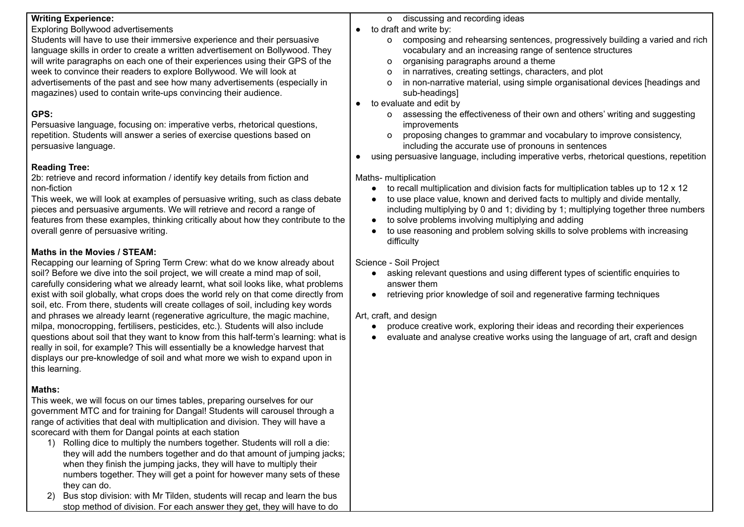| <b>Writing Experience:</b>                                                          | o discussing and recording ideas                                                        |
|-------------------------------------------------------------------------------------|-----------------------------------------------------------------------------------------|
| <b>Exploring Bollywood advertisements</b>                                           | to draft and write by:                                                                  |
| Students will have to use their immersive experience and their persuasive           | o composing and rehearsing sentences, progressively building a varied and rich          |
| language skills in order to create a written advertisement on Bollywood. They       | vocabulary and an increasing range of sentence structures                               |
| will write paragraphs on each one of their experiences using their GPS of the       | organising paragraphs around a theme<br>o                                               |
| week to convince their readers to explore Bollywood. We will look at                | in narratives, creating settings, characters, and plot<br>o                             |
| advertisements of the past and see how many advertisements (especially in           | in non-narrative material, using simple organisational devices [headings and<br>o       |
| magazines) used to contain write-ups convincing their audience.                     | sub-headings]                                                                           |
|                                                                                     | to evaluate and edit by                                                                 |
| GPS:                                                                                | assessing the effectiveness of their own and others' writing and suggesting<br>0        |
| Persuasive language, focusing on: imperative verbs, rhetorical questions,           | improvements                                                                            |
| repetition. Students will answer a series of exercise questions based on            | proposing changes to grammar and vocabulary to improve consistency,<br>$\Omega$         |
| persuasive language.                                                                | including the accurate use of pronouns in sentences                                     |
|                                                                                     | using persuasive language, including imperative verbs, rhetorical questions, repetition |
|                                                                                     |                                                                                         |
| <b>Reading Tree:</b>                                                                |                                                                                         |
| 2b: retrieve and record information / identify key details from fiction and         | Maths- multiplication                                                                   |
| non-fiction                                                                         | to recall multiplication and division facts for multiplication tables up to 12 x 12     |
| This week, we will look at examples of persuasive writing, such as class debate     | to use place value, known and derived facts to multiply and divide mentally,            |
| pieces and persuasive arguments. We will retrieve and record a range of             | including multiplying by 0 and 1; dividing by 1; multiplying together three numbers     |
| features from these examples, thinking critically about how they contribute to the  | to solve problems involving multiplying and adding                                      |
| overall genre of persuasive writing.                                                | to use reasoning and problem solving skills to solve problems with increasing           |
|                                                                                     | difficulty                                                                              |
| Maths in the Movies / STEAM:                                                        |                                                                                         |
| Recapping our learning of Spring Term Crew: what do we know already about           | Science - Soil Project                                                                  |
| soil? Before we dive into the soil project, we will create a mind map of soil,      | asking relevant questions and using different types of scientific enquiries to          |
| carefully considering what we already learnt, what soil looks like, what problems   | answer them                                                                             |
| exist with soil globally, what crops does the world rely on that come directly from | retrieving prior knowledge of soil and regenerative farming techniques                  |
| soil, etc. From there, students will create collages of soil, including key words   |                                                                                         |
| and phrases we already learnt (regenerative agriculture, the magic machine,         | Art, craft, and design                                                                  |
| milpa, monocropping, fertilisers, pesticides, etc.). Students will also include     | produce creative work, exploring their ideas and recording their experiences            |
| questions about soil that they want to know from this half-term's learning: what is | evaluate and analyse creative works using the language of art, craft and design         |
| really in soil, for example? This will essentially be a knowledge harvest that      |                                                                                         |
| displays our pre-knowledge of soil and what more we wish to expand upon in          |                                                                                         |
|                                                                                     |                                                                                         |
| this learning.                                                                      |                                                                                         |
|                                                                                     |                                                                                         |
| Maths:                                                                              |                                                                                         |
| This week, we will focus on our times tables, preparing ourselves for our           |                                                                                         |
| government MTC and for training for Dangal! Students will carousel through a        |                                                                                         |
| range of activities that deal with multiplication and division. They will have a    |                                                                                         |
| scorecard with them for Dangal points at each station                               |                                                                                         |
| 1) Rolling dice to multiply the numbers together. Students will roll a die:         |                                                                                         |
| they will add the numbers together and do that amount of jumping jacks;             |                                                                                         |
| when they finish the jumping jacks, they will have to multiply their                |                                                                                         |
| numbers together. They will get a point for however many sets of these              |                                                                                         |
| they can do.                                                                        |                                                                                         |

2) Bus stop division: with Mr Tilden, students will recap and learn the bus stop method of division. For each answer they get, they will have to do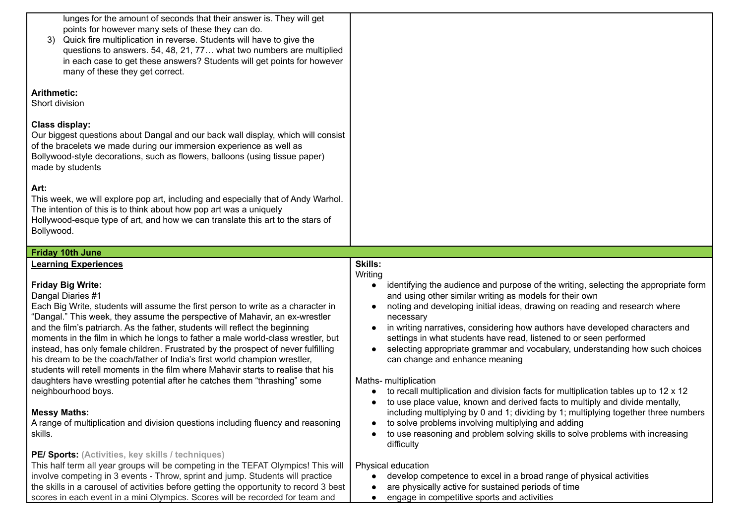| lunges for the amount of seconds that their answer is. They will get<br>points for however many sets of these they can do.<br>Quick fire multiplication in reverse. Students will have to give the<br>questions to answers. 54, 48, 21, 77 what two numbers are multiplied<br>in each case to get these answers? Students will get points for however<br>many of these they get correct.<br><b>Arithmetic:</b><br>Short division                                                                                                                                                                                                                                                                                                                                                                                                                                                                      |                                                                                                                                                                                                                                                                                                                                                                                                                                                                                                                                                                                                                                                                                                                                                                                                                                                                                                                                                                                                                      |
|-------------------------------------------------------------------------------------------------------------------------------------------------------------------------------------------------------------------------------------------------------------------------------------------------------------------------------------------------------------------------------------------------------------------------------------------------------------------------------------------------------------------------------------------------------------------------------------------------------------------------------------------------------------------------------------------------------------------------------------------------------------------------------------------------------------------------------------------------------------------------------------------------------|----------------------------------------------------------------------------------------------------------------------------------------------------------------------------------------------------------------------------------------------------------------------------------------------------------------------------------------------------------------------------------------------------------------------------------------------------------------------------------------------------------------------------------------------------------------------------------------------------------------------------------------------------------------------------------------------------------------------------------------------------------------------------------------------------------------------------------------------------------------------------------------------------------------------------------------------------------------------------------------------------------------------|
| <b>Class display:</b><br>Our biggest questions about Dangal and our back wall display, which will consist<br>of the bracelets we made during our immersion experience as well as<br>Bollywood-style decorations, such as flowers, balloons (using tissue paper)<br>made by students<br>Art:<br>This week, we will explore pop art, including and especially that of Andy Warhol.<br>The intention of this is to think about how pop art was a uniquely<br>Hollywood-esque type of art, and how we can translate this art to the stars of<br>Bollywood.                                                                                                                                                                                                                                                                                                                                                |                                                                                                                                                                                                                                                                                                                                                                                                                                                                                                                                                                                                                                                                                                                                                                                                                                                                                                                                                                                                                      |
| <b>Friday 10th June</b>                                                                                                                                                                                                                                                                                                                                                                                                                                                                                                                                                                                                                                                                                                                                                                                                                                                                               |                                                                                                                                                                                                                                                                                                                                                                                                                                                                                                                                                                                                                                                                                                                                                                                                                                                                                                                                                                                                                      |
| <b>Learning Experiences</b><br><b>Friday Big Write:</b><br>Dangal Diaries #1<br>Each Big Write, students will assume the first person to write as a character in<br>"Dangal." This week, they assume the perspective of Mahavir, an ex-wrestler<br>and the film's patriarch. As the father, students will reflect the beginning<br>moments in the film in which he longs to father a male world-class wrestler, but<br>instead, has only female children. Frustrated by the prospect of never fulfilling<br>his dream to be the coach/father of India's first world champion wrestler,<br>students will retell moments in the film where Mahavir starts to realise that his<br>daughters have wrestling potential after he catches them "thrashing" some<br>neighbourhood boys.<br><b>Messy Maths:</b><br>A range of multiplication and division questions including fluency and reasoning<br>skills. | <b>Skills:</b><br>Writing<br>identifying the audience and purpose of the writing, selecting the appropriate form<br>$\bullet$<br>and using other similar writing as models for their own<br>noting and developing initial ideas, drawing on reading and research where<br>necessary<br>in writing narratives, considering how authors have developed characters and<br>settings in what students have read, listened to or seen performed<br>selecting appropriate grammar and vocabulary, understanding how such choices<br>can change and enhance meaning<br>Maths- multiplication<br>to recall multiplication and division facts for multiplication tables up to 12 x 12<br>to use place value, known and derived facts to multiply and divide mentally,<br>including multiplying by 0 and 1; dividing by 1; multiplying together three numbers<br>to solve problems involving multiplying and adding<br>$\bullet$<br>to use reasoning and problem solving skills to solve problems with increasing<br>difficulty |
| PE/ Sports: (Activities, key skills / techniques)<br>This half term all year groups will be competing in the TEFAT Olympics! This will<br>involve competing in 3 events - Throw, sprint and jump. Students will practice<br>the skills in a carousel of activities before getting the opportunity to record 3 best<br>scores in each event in a mini Olympics. Scores will be recorded for team and                                                                                                                                                                                                                                                                                                                                                                                                                                                                                                   | Physical education<br>develop competence to excel in a broad range of physical activities<br>$\bullet$<br>are physically active for sustained periods of time<br>engage in competitive sports and activities                                                                                                                                                                                                                                                                                                                                                                                                                                                                                                                                                                                                                                                                                                                                                                                                         |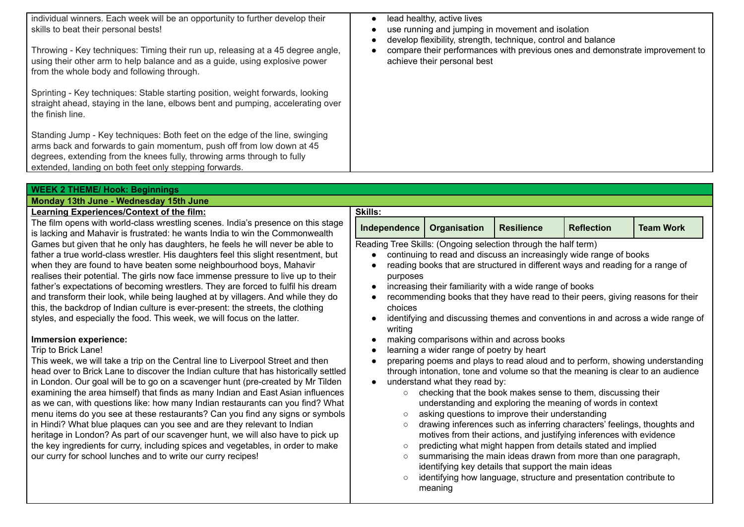| individual winners. Each week will be an opportunity to further develop their<br>skills to beat their personal bests!<br>Throwing - Key techniques: Timing their run up, releasing at a 45 degree angle,<br>using their other arm to help balance and as a guide, using explosive power<br>from the whole body and following through.<br>Sprinting - Key techniques: Stable starting position, weight forwards, looking<br>straight ahead, staying in the lane, elbows bent and pumping, accelerating over<br>the finish line.<br>Standing Jump - Key techniques: Both feet on the edge of the line, swinging<br>arms back and forwards to gain momentum, push off from low down at 45<br>degrees, extending from the knees fully, throwing arms through to fully | lead healthy, active lives<br>use running and jumping in movement and isolation<br>develop flexibility, strength, technique, control and balance<br>compare their performances with previous ones and demonstrate improvement to<br>achieve their personal best |
|-------------------------------------------------------------------------------------------------------------------------------------------------------------------------------------------------------------------------------------------------------------------------------------------------------------------------------------------------------------------------------------------------------------------------------------------------------------------------------------------------------------------------------------------------------------------------------------------------------------------------------------------------------------------------------------------------------------------------------------------------------------------|-----------------------------------------------------------------------------------------------------------------------------------------------------------------------------------------------------------------------------------------------------------------|
| extended, landing on both feet only stepping forwards.                                                                                                                                                                                                                                                                                                                                                                                                                                                                                                                                                                                                                                                                                                            |                                                                                                                                                                                                                                                                 |
|                                                                                                                                                                                                                                                                                                                                                                                                                                                                                                                                                                                                                                                                                                                                                                   |                                                                                                                                                                                                                                                                 |
| <b>WEEK 2 THEME/ Hook: Beginnings</b>                                                                                                                                                                                                                                                                                                                                                                                                                                                                                                                                                                                                                                                                                                                             |                                                                                                                                                                                                                                                                 |
| Monday 13th June - Wednesday 15th June                                                                                                                                                                                                                                                                                                                                                                                                                                                                                                                                                                                                                                                                                                                            |                                                                                                                                                                                                                                                                 |

#### **Learning Experiences/Context of the film:**

The film opens with world-class wrestling scenes. India's presence on this stage is lacking and Mahavir is frustrated: he wants India to win the Commonwealth Games but given that he only has daughters, he feels he will never be able to father a true world-class wrestler. His daughters feel this slight resentment, but when they are found to have beaten some neighbourhood boys, Mahavir realises their potential. The girls now face immense pressure to live up to their father's expectations of becoming wrestlers. They are forced to fulfil his dream and transform their look, while being laughed at by villagers. And while they do this, the backdrop of Indian culture is ever-present: the streets, the clothing styles, and especially the food. This week, we will focus on the latter.

#### **Immersion experience:**

#### Trip to Brick Lane!

This week, we will take a trip on the Central line to Liverpool Street and then head over to Brick Lane to discover the Indian culture that has historically settled in London. Our goal will be to go on a scavenger hunt (pre-created by Mr Tilden examining the area himself) that finds as many Indian and East Asian influences as we can, with questions like: how many Indian restaurants can you find? What menu items do you see at these restaurants? Can you find any signs or symbols in Hindi? What blue plaques can you see and are they relevant to Indian heritage in London? As part of our scavenger hunt, we will also have to pick up the key ingredients for curry, including spices and vegetables, in order to make our curry for school lunches and to write our curry recipes!

| <b>Skills:</b>                                                                                                                                                                                                                                                                                                                                                                                                                                                                                                      |                                                                                                                                                                                       |                   |                   |                  |
|---------------------------------------------------------------------------------------------------------------------------------------------------------------------------------------------------------------------------------------------------------------------------------------------------------------------------------------------------------------------------------------------------------------------------------------------------------------------------------------------------------------------|---------------------------------------------------------------------------------------------------------------------------------------------------------------------------------------|-------------------|-------------------|------------------|
| Independence                                                                                                                                                                                                                                                                                                                                                                                                                                                                                                        | <b>Organisation</b>                                                                                                                                                                   | <b>Resilience</b> | <b>Reflection</b> | <b>Team Work</b> |
| Reading Tree Skills: (Ongoing selection through the half term)<br>continuing to read and discuss an increasingly wide range of books<br>reading books that are structured in different ways and reading for a range of<br>purposes<br>increasing their familiarity with a wide range of books<br>recommending books that they have read to their peers, giving reasons for their<br>$\bullet$<br>choices<br>identifying and discussing themes and conventions in and across a wide range of<br>$\bullet$<br>writing |                                                                                                                                                                                       |                   |                   |                  |
| making comparisons within and across books<br>$\bullet$<br>learning a wider range of poetry by heart<br>$\bullet$<br>preparing poems and plays to read aloud and to perform, showing understanding<br>$\bullet$<br>through intonation, tone and volume so that the meaning is clear to an audience<br>understand what they read by:<br>$\bullet$                                                                                                                                                                    |                                                                                                                                                                                       |                   |                   |                  |
| $\circ$<br>$\circ$                                                                                                                                                                                                                                                                                                                                                                                                                                                                                                  | checking that the book makes sense to them, discussing their<br>understanding and exploring the meaning of words in context<br>asking questions to improve their understanding        |                   |                   |                  |
| $\circ$                                                                                                                                                                                                                                                                                                                                                                                                                                                                                                             | drawing inferences such as inferring characters' feelings, thoughts and<br>motives from their actions, and justifying inferences with evidence                                        |                   |                   |                  |
| $\circ$<br>$\circ$                                                                                                                                                                                                                                                                                                                                                                                                                                                                                                  | predicting what might happen from details stated and implied<br>summarising the main ideas drawn from more than one paragraph,<br>identifying key details that support the main ideas |                   |                   |                  |
| $\circ$                                                                                                                                                                                                                                                                                                                                                                                                                                                                                                             | identifying how language, structure and presentation contribute to<br>meaning                                                                                                         |                   |                   |                  |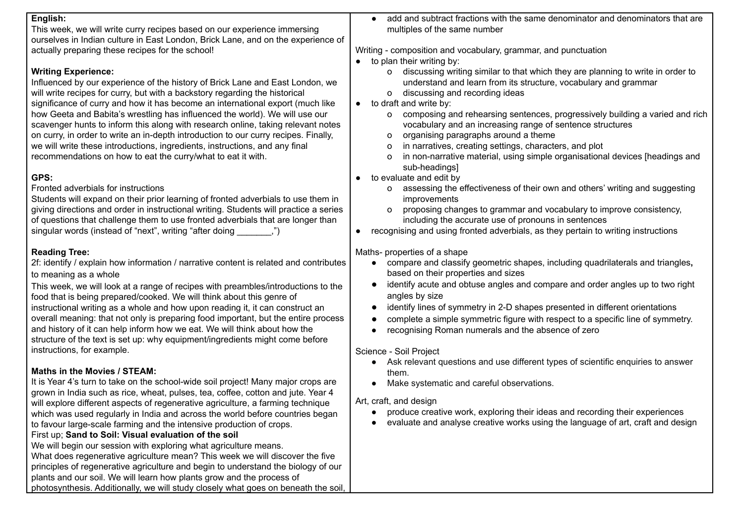| English:<br>This week, we will write curry recipes based on our experience immersing<br>ourselves in Indian culture in East London, Brick Lane, and on the experience of                                                                                                                                                                                                                                       | add and subtract fractions with the same denominator and denominators that are<br>multiples of the same number                                                                                                                                                                                                                         |
|----------------------------------------------------------------------------------------------------------------------------------------------------------------------------------------------------------------------------------------------------------------------------------------------------------------------------------------------------------------------------------------------------------------|----------------------------------------------------------------------------------------------------------------------------------------------------------------------------------------------------------------------------------------------------------------------------------------------------------------------------------------|
| actually preparing these recipes for the school!                                                                                                                                                                                                                                                                                                                                                               | Writing - composition and vocabulary, grammar, and punctuation<br>to plan their writing by:                                                                                                                                                                                                                                            |
| <b>Writing Experience:</b><br>Influenced by our experience of the history of Brick Lane and East London, we<br>will write recipes for curry, but with a backstory regarding the historical<br>significance of curry and how it has become an international export (much like<br>how Geeta and Babita's wrestling has influenced the world). We will use our                                                    | discussing writing similar to that which they are planning to write in order to<br>O<br>understand and learn from its structure, vocabulary and grammar<br>discussing and recording ideas<br>$\circ$<br>to draft and write by:<br>$\bullet$<br>composing and rehearsing sentences, progressively building a varied and rich<br>$\circ$ |
| scavenger hunts to inform this along with research online, taking relevant notes<br>on curry, in order to write an in-depth introduction to our curry recipes. Finally,<br>we will write these introductions, ingredients, instructions, and any final<br>recommendations on how to eat the curry/what to eat it with.                                                                                         | vocabulary and an increasing range of sentence structures<br>organising paragraphs around a theme<br>0<br>in narratives, creating settings, characters, and plot<br>o<br>in non-narrative material, using simple organisational devices [headings and<br>o<br>sub-headings]                                                            |
| GPS:<br>Fronted adverbials for instructions<br>Students will expand on their prior learning of fronted adverbials to use them in                                                                                                                                                                                                                                                                               | to evaluate and edit by<br>assessing the effectiveness of their own and others' writing and suggesting<br>o<br>improvements                                                                                                                                                                                                            |
| giving directions and order in instructional writing. Students will practice a series<br>of questions that challenge them to use fronted adverbials that are longer than<br>singular words (instead of "next", writing "after doing ________,")                                                                                                                                                                | proposing changes to grammar and vocabulary to improve consistency,<br>$\circ$<br>including the accurate use of pronouns in sentences<br>recognising and using fronted adverbials, as they pertain to writing instructions                                                                                                             |
| <b>Reading Tree:</b><br>2f: identify / explain how information / narrative content is related and contributes<br>to meaning as a whole                                                                                                                                                                                                                                                                         | Maths-properties of a shape<br>compare and classify geometric shapes, including quadrilaterals and triangles,<br>based on their properties and sizes<br>identify acute and obtuse angles and compare and order angles up to two right                                                                                                  |
| This week, we will look at a range of recipes with preambles/introductions to the<br>food that is being prepared/cooked. We will think about this genre of<br>instructional writing as a whole and how upon reading it, it can construct an<br>overall meaning: that not only is preparing food important, but the entire process<br>and history of it can help inform how we eat. We will think about how the | angles by size<br>identify lines of symmetry in 2-D shapes presented in different orientations<br>complete a simple symmetric figure with respect to a specific line of symmetry.<br>$\bullet$<br>recognising Roman numerals and the absence of zero                                                                                   |
| structure of the text is set up: why equipment/ingredients might come before<br>instructions, for example.                                                                                                                                                                                                                                                                                                     | Science - Soil Project<br>Ask relevant questions and use different types of scientific enquiries to answer                                                                                                                                                                                                                             |
| Maths in the Movies / STEAM:<br>It is Year 4's turn to take on the school-wide soil project! Many major crops are<br>grown in India such as rice, wheat, pulses, tea, coffee, cotton and jute. Year 4                                                                                                                                                                                                          | them.<br>Make systematic and careful observations.                                                                                                                                                                                                                                                                                     |
| will explore different aspects of regenerative agriculture, a farming technique<br>which was used regularly in India and across the world before countries began<br>to favour large-scale farming and the intensive production of crops.<br>First up; Sand to Soil: Visual evaluation of the soil                                                                                                              | Art, craft, and design<br>produce creative work, exploring their ideas and recording their experiences<br>evaluate and analyse creative works using the language of art, craft and design                                                                                                                                              |
| We will begin our session with exploring what agriculture means.<br>What does regenerative agriculture mean? This week we will discover the five<br>principles of regenerative agriculture and begin to understand the biology of our<br>plants and our soil. We will learn how plants grow and the process of<br>photosynthesis. Additionally, we will study closely what goes on beneath the soil,           |                                                                                                                                                                                                                                                                                                                                        |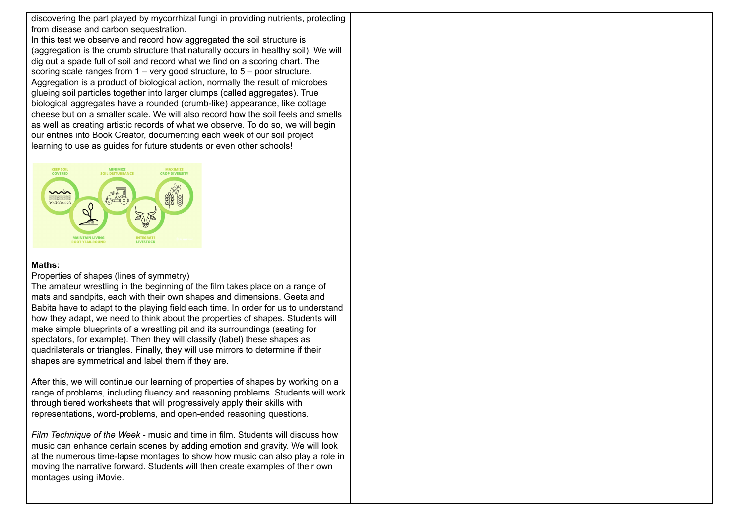discovering the part played by mycorrhizal fungi in providing nutrients, protecting from disease and carbon sequestration. In this test we observe and record how aggregated the soil structure is (aggregation is the crumb structure that naturally occurs in healthy soil). We will dig out a spade full of soil and record what we find on a scoring chart. The scoring scale ranges from 1 – very good structure, to 5 – poor structure. Aggregation is a product of biological action, normally the result of microbes glueing soil particles together into larger clumps (called aggregates). True biological aggregates have a rounded (crumb-like) appearance, like cottage cheese but on a smaller scale. We will also record how the soil feels and smells as well as creating artistic records of what we observe. To do so, we will begin our entries into Book Creator, documenting each week of our soil project learning to use as guides for future students or even other schools!



#### **Maths:**

#### Properties of shapes (lines of symmetry)

The amateur wrestling in the beginning of the film takes place on a range of mats and sandpits, each with their own shapes and dimensions. Geeta and Babita have to adapt to the playing field each time. In order for us to understand how they adapt, we need to think about the properties of shapes. Students will make simple blueprints of a wrestling pit and its surroundings (seating for spectators, for example). Then they will classify (label) these shapes as quadrilaterals or triangles. Finally, they will use mirrors to determine if their shapes are symmetrical and label them if they are.

After this, we will continue our learning of properties of shapes by working on a range of problems, including fluency and reasoning problems. Students will work through tiered worksheets that will progressively apply their skills with representations, word-problems, and open-ended reasoning questions.

*Film Technique of the Week* - music and time in film. Students will discuss how music can enhance certain scenes by adding emotion and gravity. We will look at the numerous time-lapse montages to show how music can also play a role in moving the narrative forward. Students will then create examples of their own montages using iMovie.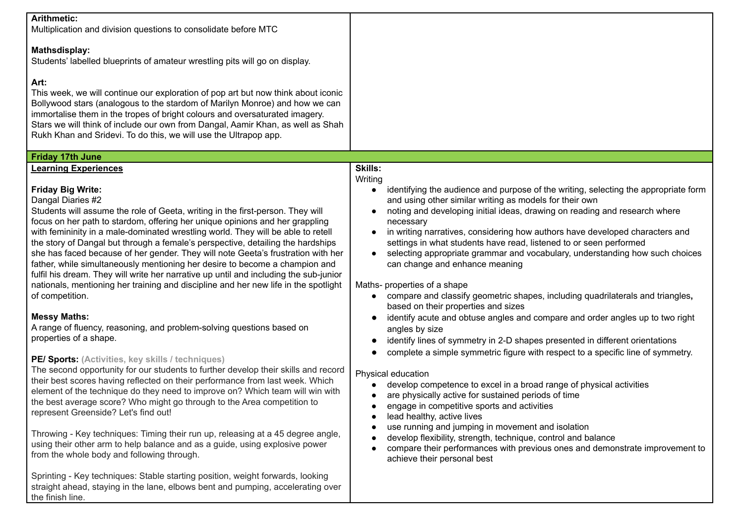| <b>Arithmetic:</b><br>Multiplication and division questions to consolidate before MTC                                                                                                                                                                                                                                                                                                                                                                                                                                                                                                                                                                                                                                                                                                                                                                                                                                                                                                                                                                                                                                                                                                                                                                                                                                                                                                                                                                                                                                                                                 |                                                                                                                                                                                                                                                                                                                                                                                                                                                                                                                                                                                                                                                                                                                                                                                                                                                                                                                                                                                                                                                                                                                                                                                                                                                                                                                                                                                                                                                     |
|-----------------------------------------------------------------------------------------------------------------------------------------------------------------------------------------------------------------------------------------------------------------------------------------------------------------------------------------------------------------------------------------------------------------------------------------------------------------------------------------------------------------------------------------------------------------------------------------------------------------------------------------------------------------------------------------------------------------------------------------------------------------------------------------------------------------------------------------------------------------------------------------------------------------------------------------------------------------------------------------------------------------------------------------------------------------------------------------------------------------------------------------------------------------------------------------------------------------------------------------------------------------------------------------------------------------------------------------------------------------------------------------------------------------------------------------------------------------------------------------------------------------------------------------------------------------------|-----------------------------------------------------------------------------------------------------------------------------------------------------------------------------------------------------------------------------------------------------------------------------------------------------------------------------------------------------------------------------------------------------------------------------------------------------------------------------------------------------------------------------------------------------------------------------------------------------------------------------------------------------------------------------------------------------------------------------------------------------------------------------------------------------------------------------------------------------------------------------------------------------------------------------------------------------------------------------------------------------------------------------------------------------------------------------------------------------------------------------------------------------------------------------------------------------------------------------------------------------------------------------------------------------------------------------------------------------------------------------------------------------------------------------------------------------|
| <b>Mathsdisplay:</b><br>Students' labelled blueprints of amateur wrestling pits will go on display.                                                                                                                                                                                                                                                                                                                                                                                                                                                                                                                                                                                                                                                                                                                                                                                                                                                                                                                                                                                                                                                                                                                                                                                                                                                                                                                                                                                                                                                                   |                                                                                                                                                                                                                                                                                                                                                                                                                                                                                                                                                                                                                                                                                                                                                                                                                                                                                                                                                                                                                                                                                                                                                                                                                                                                                                                                                                                                                                                     |
| Art:<br>This week, we will continue our exploration of pop art but now think about iconic<br>Bollywood stars (analogous to the stardom of Marilyn Monroe) and how we can<br>immortalise them in the tropes of bright colours and oversaturated imagery.<br>Stars we will think of include our own from Dangal, Aamir Khan, as well as Shah<br>Rukh Khan and Sridevi. To do this, we will use the Ultrapop app.                                                                                                                                                                                                                                                                                                                                                                                                                                                                                                                                                                                                                                                                                                                                                                                                                                                                                                                                                                                                                                                                                                                                                        |                                                                                                                                                                                                                                                                                                                                                                                                                                                                                                                                                                                                                                                                                                                                                                                                                                                                                                                                                                                                                                                                                                                                                                                                                                                                                                                                                                                                                                                     |
| <b>Friday 17th June</b>                                                                                                                                                                                                                                                                                                                                                                                                                                                                                                                                                                                                                                                                                                                                                                                                                                                                                                                                                                                                                                                                                                                                                                                                                                                                                                                                                                                                                                                                                                                                               |                                                                                                                                                                                                                                                                                                                                                                                                                                                                                                                                                                                                                                                                                                                                                                                                                                                                                                                                                                                                                                                                                                                                                                                                                                                                                                                                                                                                                                                     |
| <b>Learning Experiences</b><br><b>Friday Big Write:</b><br>Dangal Diaries #2<br>Students will assume the role of Geeta, writing in the first-person. They will<br>focus on her path to stardom, offering her unique opinions and her grappling<br>with femininity in a male-dominated wrestling world. They will be able to retell<br>the story of Dangal but through a female's perspective, detailing the hardships<br>she has faced because of her gender. They will note Geeta's frustration with her<br>father, while simultaneously mentioning her desire to become a champion and<br>fulfil his dream. They will write her narrative up until and including the sub-junior<br>nationals, mentioning her training and discipline and her new life in the spotlight<br>of competition.<br><b>Messy Maths:</b><br>A range of fluency, reasoning, and problem-solving questions based on<br>properties of a shape.<br>PE/ Sports: (Activities, key skills / techniques)<br>The second opportunity for our students to further develop their skills and record<br>their best scores having reflected on their performance from last week. Which<br>element of the technique do they need to improve on? Which team will win with<br>the best average score? Who might go through to the Area competition to<br>represent Greenside? Let's find out!<br>Throwing - Key techniques: Timing their run up, releasing at a 45 degree angle,<br>using their other arm to help balance and as a guide, using explosive power<br>from the whole body and following through. | <b>Skills:</b><br>Writing<br>identifying the audience and purpose of the writing, selecting the appropriate form<br>and using other similar writing as models for their own<br>noting and developing initial ideas, drawing on reading and research where<br>necessary<br>in writing narratives, considering how authors have developed characters and<br>settings in what students have read, listened to or seen performed<br>selecting appropriate grammar and vocabulary, understanding how such choices<br>can change and enhance meaning<br>Maths- properties of a shape<br>compare and classify geometric shapes, including quadrilaterals and triangles,<br>based on their properties and sizes<br>identify acute and obtuse angles and compare and order angles up to two right<br>angles by size<br>identify lines of symmetry in 2-D shapes presented in different orientations<br>complete a simple symmetric figure with respect to a specific line of symmetry.<br>Physical education<br>develop competence to excel in a broad range of physical activities<br>are physically active for sustained periods of time<br>engage in competitive sports and activities<br>lead healthy, active lives<br>use running and jumping in movement and isolation<br>develop flexibility, strength, technique, control and balance<br>compare their performances with previous ones and demonstrate improvement to<br>achieve their personal best |
| Sprinting - Key techniques: Stable starting position, weight forwards, looking<br>straight ahead, staying in the lane, elbows bent and pumping, accelerating over<br>the finish line.                                                                                                                                                                                                                                                                                                                                                                                                                                                                                                                                                                                                                                                                                                                                                                                                                                                                                                                                                                                                                                                                                                                                                                                                                                                                                                                                                                                 |                                                                                                                                                                                                                                                                                                                                                                                                                                                                                                                                                                                                                                                                                                                                                                                                                                                                                                                                                                                                                                                                                                                                                                                                                                                                                                                                                                                                                                                     |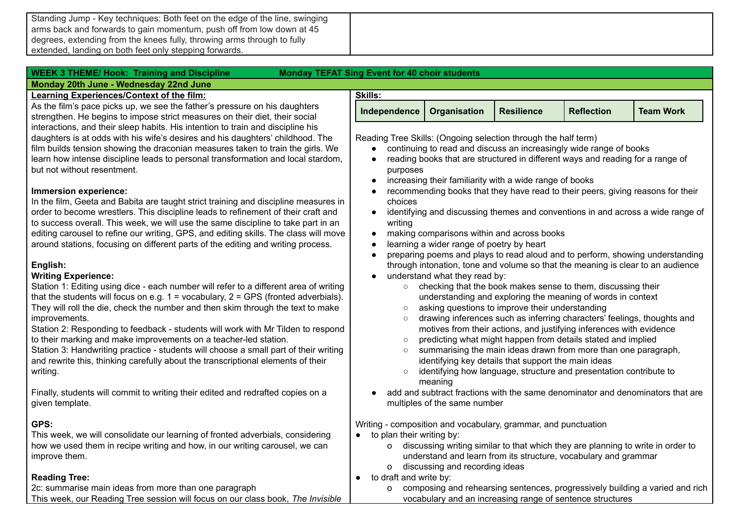Standing Jump - Key techniques: Both feet on the edge of the line, swinging arms back and forwards to gain momentum, push off from low down at 45 degrees, extending from the knees fully, throwing arms through to fully extended, landing on both feet only stepping forwards.

| <b>WEEK 3 THEME/ Hook: Training and Discipline</b><br>Monday 20th June - Wednesday 22nd June | <b>Monday TEFAT Sing Event for 40 choir students</b>                                                  |                                           |                                                         |                                                                                   |                                                                                 |
|----------------------------------------------------------------------------------------------|-------------------------------------------------------------------------------------------------------|-------------------------------------------|---------------------------------------------------------|-----------------------------------------------------------------------------------|---------------------------------------------------------------------------------|
| <b>Learning Experiences/Context of the film:</b>                                             | <b>Skills:</b>                                                                                        |                                           |                                                         |                                                                                   |                                                                                 |
| As the film's pace picks up, we see the father's pressure on his daughters                   |                                                                                                       |                                           |                                                         |                                                                                   |                                                                                 |
| strengthen. He begins to impose strict measures on their diet, their social                  | Independence                                                                                          | Organisation                              | <b>Resilience</b>                                       | <b>Reflection</b>                                                                 | <b>Team Work</b>                                                                |
| interactions, and their sleep habits. His intention to train and discipline his              |                                                                                                       |                                           |                                                         |                                                                                   |                                                                                 |
| daughters is at odds with his wife's desires and his daughters' childhood. The               | Reading Tree Skills: (Ongoing selection through the half term)                                        |                                           |                                                         |                                                                                   |                                                                                 |
| film builds tension showing the draconian measures taken to train the girls. We              |                                                                                                       |                                           |                                                         | continuing to read and discuss an increasingly wide range of books                |                                                                                 |
| learn how intense discipline leads to personal transformation and local stardom,             |                                                                                                       |                                           |                                                         | reading books that are structured in different ways and reading for a range of    |                                                                                 |
| but not without resentment.                                                                  | purposes                                                                                              |                                           |                                                         |                                                                                   |                                                                                 |
|                                                                                              |                                                                                                       |                                           | increasing their familiarity with a wide range of books |                                                                                   |                                                                                 |
| Immersion experience:                                                                        |                                                                                                       |                                           |                                                         |                                                                                   | recommending books that they have read to their peers, giving reasons for their |
| In the film, Geeta and Babita are taught strict training and discipline measures in          | choices                                                                                               |                                           |                                                         |                                                                                   |                                                                                 |
| order to become wrestlers. This discipline leads to refinement of their craft and            |                                                                                                       |                                           |                                                         |                                                                                   | identifying and discussing themes and conventions in and across a wide range of |
| to success overall. This week, we will use the same discipline to take part in an            | writing                                                                                               |                                           |                                                         |                                                                                   |                                                                                 |
| editing carousel to refine our writing, GPS, and editing skills. The class will move         | $\bullet$                                                                                             |                                           | making comparisons within and across books              |                                                                                   |                                                                                 |
| around stations, focusing on different parts of the editing and writing process.             |                                                                                                       | learning a wider range of poetry by heart |                                                         |                                                                                   |                                                                                 |
|                                                                                              |                                                                                                       |                                           |                                                         |                                                                                   | preparing poems and plays to read aloud and to perform, showing understanding   |
| English:                                                                                     |                                                                                                       |                                           |                                                         |                                                                                   | through intonation, tone and volume so that the meaning is clear to an audience |
| <b>Writing Experience:</b>                                                                   | $\bullet$                                                                                             | understand what they read by:             |                                                         |                                                                                   |                                                                                 |
| Station 1: Editing using dice - each number will refer to a different area of writing        | $\circ$                                                                                               |                                           |                                                         | checking that the book makes sense to them, discussing their                      |                                                                                 |
| that the students will focus on e.g. $1 =$ vocabulary, $2 =$ GPS (fronted adverbials).       |                                                                                                       |                                           |                                                         | understanding and exploring the meaning of words in context                       |                                                                                 |
| They will roll the die, check the number and then skim through the text to make              | $\circ$                                                                                               |                                           | asking questions to improve their understanding         |                                                                                   |                                                                                 |
| improvements.                                                                                | $\circ$                                                                                               |                                           |                                                         | drawing inferences such as inferring characters' feelings, thoughts and           |                                                                                 |
| Station 2: Responding to feedback - students will work with Mr Tilden to respond             |                                                                                                       |                                           |                                                         | motives from their actions, and justifying inferences with evidence               |                                                                                 |
| to their marking and make improvements on a teacher-led station.                             | $\circ$                                                                                               |                                           |                                                         | predicting what might happen from details stated and implied                      |                                                                                 |
| Station 3: Handwriting practice - students will choose a small part of their writing         | $\circ$                                                                                               |                                           |                                                         | summarising the main ideas drawn from more than one paragraph,                    |                                                                                 |
| and rewrite this, thinking carefully about the transcriptional elements of their             |                                                                                                       |                                           | identifying key details that support the main ideas     |                                                                                   |                                                                                 |
| writing.                                                                                     | $\circ$                                                                                               |                                           |                                                         | identifying how language, structure and presentation contribute to                |                                                                                 |
|                                                                                              |                                                                                                       | meaning                                   |                                                         |                                                                                   |                                                                                 |
| Finally, students will commit to writing their edited and redrafted copies on a              |                                                                                                       |                                           |                                                         |                                                                                   | add and subtract fractions with the same denominator and denominators that are  |
| given template.                                                                              |                                                                                                       | multiples of the same number              |                                                         |                                                                                   |                                                                                 |
| GPS:                                                                                         |                                                                                                       |                                           |                                                         |                                                                                   |                                                                                 |
| This week, we will consolidate our learning of fronted adverbials, considering               | Writing - composition and vocabulary, grammar, and punctuation<br>$\bullet$ to plan their writing by: |                                           |                                                         |                                                                                   |                                                                                 |
| how we used them in recipe writing and how, in our writing carousel, we can                  |                                                                                                       |                                           |                                                         | o discussing writing similar to that which they are planning to write in order to |                                                                                 |
| improve them.                                                                                |                                                                                                       |                                           |                                                         | understand and learn from its structure, vocabulary and grammar                   |                                                                                 |
|                                                                                              | O                                                                                                     | discussing and recording ideas            |                                                         |                                                                                   |                                                                                 |

**Reading Tree:**

2c: summarise main ideas from more than one paragraph This week, our Reading Tree session will focus on our class book, *The Invisible*

● to draft and write by: o composing and rehearsing sentences, progressively building a varied and rich vocabulary and an increasing range of sentence structures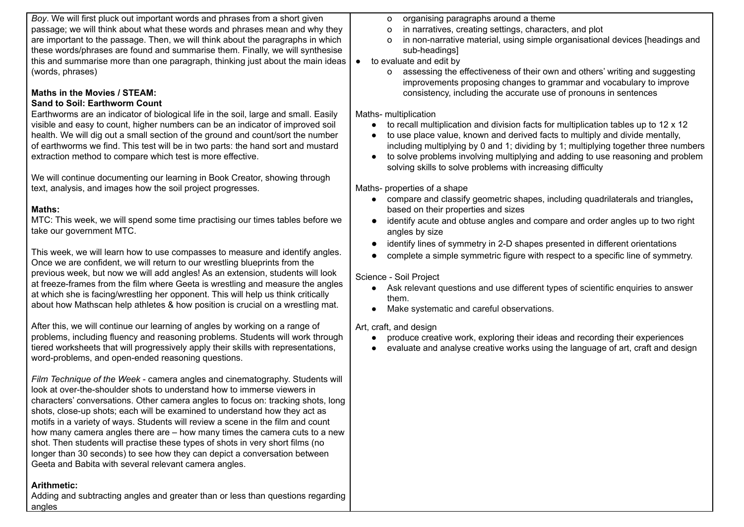*Boy*. We will first pluck out important words and phrases from a short given passage; we will think about what these words and phrases mean and why they are important to the passage. Then, we will think about the paragraphs in which these words/phrases are found and summarise them. Finally, we will synthesise this and summarise more than one paragraph, thinking just about the main ideas (words, phrases) **Maths in the Movies / STEAM: Sand to Soil: Earthworm Count** Earthworms are an indicator of biological life in the soil, large and small. Easily visible and easy to count, higher numbers can be an indicator of improved soil health. We will dig out a small section of the ground and count/sort the number of earthworms we find. This test will be in two parts: the hand sort and mustard extraction method to compare which test is more effective. We will continue documenting our learning in Book Creator, showing through text, analysis, and images how the soil project progresses. **Maths:** MTC: This week, we will spend some time practising our times tables before we take our government MTC. This week, we will learn how to use compasses to measure and identify angles. Once we are confident, we will return to our wrestling blueprints from the previous week, but now we will add angles! As an extension, students will look at freeze-frames from the film where Geeta is wrestling and measure the angles at which she is facing/wrestling her opponent. This will help us think critically about how Mathscan help athletes & how position is crucial on a wrestling mat. After this, we will continue our learning of angles by working on a range of problems, including fluency and reasoning problems. Students will work through tiered worksheets that will progressively apply their skills with representations, word-problems, and open-ended reasoning questions. *Film Technique of the Week* - camera angles and cinematography. Students will look at over-the-shoulder shots to understand how to immerse viewers in characters' conversations. Other camera angles to focus on: tracking shots, long shots, close-up shots; each will be examined to understand how they act as motifs in a variety of ways. Students will review a scene in the film and count o organising paragraphs around a theme o in narratives, creating settings, characters, and plot o in non-narrative material, using simple organisational devices [headings and sub-headings] ● to evaluate and edit by o assessing the effectiveness of their own and others' writing and suggesting improvements proposing changes to grammar and vocabulary to improve consistency, including the accurate use of pronouns in sentences Maths- multiplication ● to recall multiplication and division facts for multiplication tables up to 12 x 12 ● to use place value, known and derived facts to multiply and divide mentally, including multiplying by 0 and 1; dividing by 1; multiplying together three numbers ● to solve problems involving multiplying and adding to use reasoning and problem solving skills to solve problems with increasing difficulty Maths- properties of a shape ● compare and classify geometric shapes, including quadrilaterals and triangles**,** based on their properties and sizes ● identify acute and obtuse angles and compare and order angles up to two right angles by size ● identify lines of symmetry in 2-D shapes presented in different orientations ● complete a simple symmetric figure with respect to a specific line of symmetry. Science - Soil Project ● Ask relevant questions and use different types of scientific enquiries to answer them. ● Make systematic and careful observations. Art, craft, and design ● produce creative work, exploring their ideas and recording their experiences ● evaluate and analyse creative works using the language of art, craft and design

how many camera angles there are – how many times the camera cuts to a new shot. Then students will practise these types of shots in very short films (no longer than 30 seconds) to see how they can depict a conversation between Geeta and Babita with several relevant camera angles.

## **Arithmetic:**

Adding and subtracting angles and greater than or less than questions regarding angles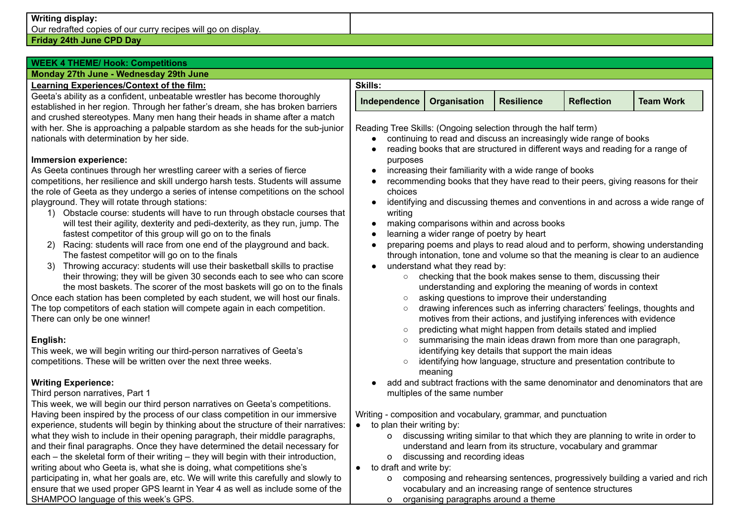### **Writing display:**

Our redrafted copies of our curry recipes will go on display.

### **Friday 24th June CPD Day**

# **WEEK 4 THEME/ Hook: Competitions**

### **Monday 27th June - Wednesday 29th June**

### **Learning Experiences/Context of the film:**

Geeta's ability as a confident, unbeatable wrestler has become thoroughly established in her region. Through her father's dream, she has broken barriers and crushed stereotypes. Many men hang their heads in shame after a match with her. She is approaching a palpable stardom as she heads for the sub-junior nationals with determination by her side.

### **Immersion experience:**

As Geeta continues through her wrestling career with a series of fierce competitions, her resilience and skill undergo harsh tests. Students will assume the role of Geeta as they undergo a series of intense competitions on the school playground. They will rotate through stations:

- 1) Obstacle course: students will have to run through obstacle courses that will test their agility, dexterity and pedi-dexterity, as they run, jump. The fastest competitor of this group will go on to the finals
- 2) Racing: students will race from one end of the playground and back. The fastest competitor will go on to the finals
- 3) Throwing accuracy: students will use their basketball skills to practise their throwing; they will be given 30 seconds each to see who can score the most baskets. The scorer of the most baskets will go on to the finals

Once each station has been completed by each student, we will host our finals. The top competitors of each station will compete again in each competition. There can only be one winner!

### **English:**

This week, we will begin writing our third-person narratives of Geeta's competitions. These will be written over the next three weeks.

## **Writing Experience:**

### Third person narratives, Part 1

This week, we will begin our third person narratives on Geeta's competitions. Having been inspired by the process of our class competition in our immersive experience, students will begin by thinking about the structure of their narratives: what they wish to include in their opening paragraph, their middle paragraphs, and their final paragraphs. Once they have determined the detail necessary for each – the skeletal form of their writing – they will begin with their introduction, writing about who Geeta is, what she is doing, what competitions she's participating in, what her goals are, etc. We will write this carefully and slowly to ensure that we used proper GPS learnt in Year 4 as well as include some of the SHAMPOO language of this week's GPS.

| Skills:                     |                   |                   |                  |
|-----------------------------|-------------------|-------------------|------------------|
| Independence   Organisation | <b>Resilience</b> | <b>Reflection</b> | <b>Team Work</b> |

Reading Tree Skills: (Ongoing selection through the half term)

- continuing to read and discuss an increasingly wide range of books
- reading books that are structured in different ways and reading for a range of purposes
- increasing their familiarity with a wide range of books
- recommending books that they have read to their peers, giving reasons for their choices
- identifying and discussing themes and conventions in and across a wide range of writing
- making comparisons within and across books
- learning a wider range of poetry by heart
- preparing poems and plays to read aloud and to perform, showing understanding through intonation, tone and volume so that the meaning is clear to an audience
- understand what they read by:
	- checking that the book makes sense to them, discussing their understanding and exploring the meaning of words in context
	- asking questions to improve their understanding
	- drawing inferences such as inferring characters' feelings, thoughts and motives from their actions, and justifying inferences with evidence
	- predicting what might happen from details stated and implied
	- summarising the main ideas drawn from more than one paragraph, identifying key details that support the main ideas
	- identifying how language, structure and presentation contribute to meaning
- add and subtract fractions with the same denominator and denominators that are multiples of the same number

Writing - composition and vocabulary, grammar, and punctuation

- $\bullet$  to plan their writing by:
	- o discussing writing similar to that which they are planning to write in order to understand and learn from its structure, vocabulary and grammar
	- o discussing and recording ideas
- to draft and write by:
	- o composing and rehearsing sentences, progressively building a varied and rich vocabulary and an increasing range of sentence structures
	- o organising paragraphs around a theme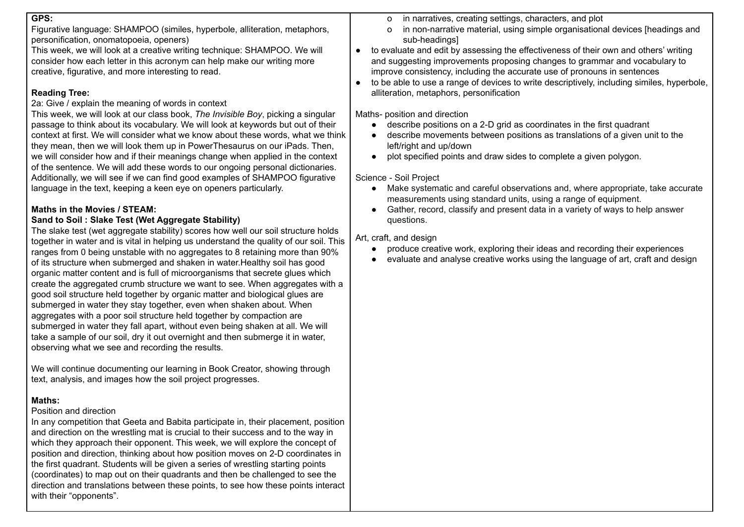### **GPS:**

Figurative language: SHAMPOO (similes, hyperbole, alliteration, metaphors, personification, onomatopoeia, openers)

This week, we will look at a creative writing technique: SHAMPOO. We will consider how each letter in this acronym can help make our writing more creative, figurative, and more interesting to read.

## **Reading Tree:**

2a: Give / explain the meaning of words in context

This week, we will look at our class book, *The Invisible Boy*, picking a singular passage to think about its vocabulary. We will look at keywords but out of their context at first. We will consider what we know about these words, what we think they mean, then we will look them up in PowerThesaurus on our iPads. Then, we will consider how and if their meanings change when applied in the context of the sentence. We will add these words to our ongoing personal dictionaries. Additionally, we will see if we can find good examples of SHAMPOO figurative language in the text, keeping a keen eye on openers particularly.

# **Maths in the Movies / STEAM:**

# **Sand to Soil : Slake Test (Wet Aggregate Stability)**

The slake test (wet aggregate stability) scores how well our soil structure holds together in water and is vital in helping us understand the quality of our soil. This ranges from 0 being unstable with no aggregates to 8 retaining more than 90% of its structure when submerged and shaken in water.Healthy soil has good organic matter content and is full of microorganisms that secrete glues which create the aggregated crumb structure we want to see. When aggregates with a good soil structure held together by organic matter and biological glues are submerged in water they stay together, even when shaken about. When aggregates with a poor soil structure held together by compaction are submerged in water they fall apart, without even being shaken at all. We will take a sample of our soil, dry it out overnight and then submerge it in water, observing what we see and recording the results.

We will continue documenting our learning in Book Creator, showing through text, analysis, and images how the soil project progresses.

## **Maths:**

## Position and direction

In any competition that Geeta and Babita participate in, their placement, position and direction on the wrestling mat is crucial to their success and to the way in which they approach their opponent. This week, we will explore the concept of position and direction, thinking about how position moves on 2-D coordinates in the first quadrant. Students will be given a series of wrestling starting points (coordinates) to map out on their quadrants and then be challenged to see the direction and translations between these points, to see how these points interact with their "opponents".

- o in narratives, creating settings, characters, and plot
- o in non-narrative material, using simple organisational devices [headings and sub-headings]
- to evaluate and edit by assessing the effectiveness of their own and others' writing and suggesting improvements proposing changes to grammar and vocabulary to improve consistency, including the accurate use of pronouns in sentences
- to be able to use a range of devices to write descriptively, including similes, hyperbole, alliteration, metaphors, personification

Maths- position and direction

- describe positions on a 2-D grid as coordinates in the first quadrant
- describe movements between positions as translations of a given unit to the left/right and up/down
- plot specified points and draw sides to complete a given polygon.

# Science - Soil Project

- Make systematic and careful observations and, where appropriate, take accurate measurements using standard units, using a range of equipment.
- Gather, record, classify and present data in a variety of ways to help answer questions.

Art, craft, and design

- produce creative work, exploring their ideas and recording their experiences
- evaluate and analyse creative works using the language of art, craft and design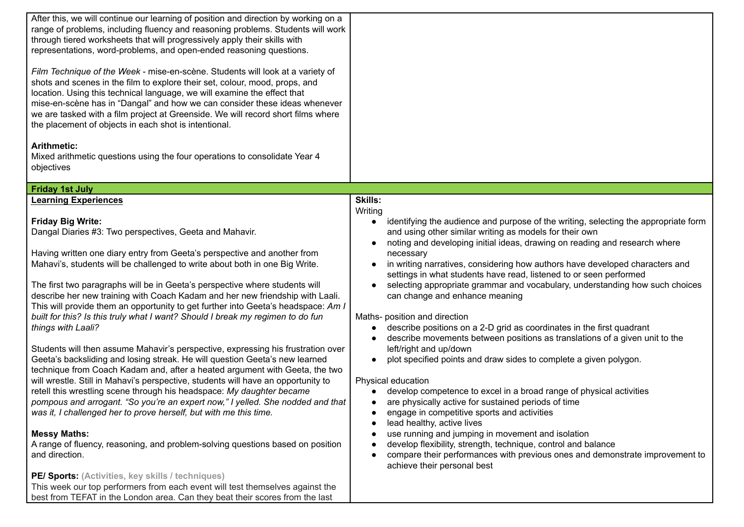| After this, we will continue our learning of position and direction by working on a<br>range of problems, including fluency and reasoning problems. Students will work<br>through tiered worksheets that will progressively apply their skills with<br>representations, word-problems, and open-ended reasoning questions.<br>Film Technique of the Week - mise-en-scène. Students will look at a variety of<br>shots and scenes in the film to explore their set, colour, mood, props, and<br>location. Using this technical language, we will examine the effect that<br>mise-en-scène has in "Dangal" and how we can consider these ideas whenever<br>we are tasked with a film project at Greenside. We will record short films where<br>the placement of objects in each shot is intentional.<br><b>Arithmetic:</b><br>Mixed arithmetic questions using the four operations to consolidate Year 4<br>objectives                                                                                                                                                                                                                                                                                                                                                                                                                                                                                                                                                                                                                                               |                                                                                                                                                                                                                                                                                                                                                                                                                                                                                                                                                                                                                                                                                                                                                                                                                                                                                                                                                                                                                                                                                                                                                                                                                                                                                                              |
|--------------------------------------------------------------------------------------------------------------------------------------------------------------------------------------------------------------------------------------------------------------------------------------------------------------------------------------------------------------------------------------------------------------------------------------------------------------------------------------------------------------------------------------------------------------------------------------------------------------------------------------------------------------------------------------------------------------------------------------------------------------------------------------------------------------------------------------------------------------------------------------------------------------------------------------------------------------------------------------------------------------------------------------------------------------------------------------------------------------------------------------------------------------------------------------------------------------------------------------------------------------------------------------------------------------------------------------------------------------------------------------------------------------------------------------------------------------------------------------------------------------------------------------------------------------------|--------------------------------------------------------------------------------------------------------------------------------------------------------------------------------------------------------------------------------------------------------------------------------------------------------------------------------------------------------------------------------------------------------------------------------------------------------------------------------------------------------------------------------------------------------------------------------------------------------------------------------------------------------------------------------------------------------------------------------------------------------------------------------------------------------------------------------------------------------------------------------------------------------------------------------------------------------------------------------------------------------------------------------------------------------------------------------------------------------------------------------------------------------------------------------------------------------------------------------------------------------------------------------------------------------------|
| <b>Friday 1st July</b>                                                                                                                                                                                                                                                                                                                                                                                                                                                                                                                                                                                                                                                                                                                                                                                                                                                                                                                                                                                                                                                                                                                                                                                                                                                                                                                                                                                                                                                                                                                                             |                                                                                                                                                                                                                                                                                                                                                                                                                                                                                                                                                                                                                                                                                                                                                                                                                                                                                                                                                                                                                                                                                                                                                                                                                                                                                                              |
| <b>Learning Experiences</b><br><b>Friday Big Write:</b><br>Dangal Diaries #3: Two perspectives, Geeta and Mahavir.<br>Having written one diary entry from Geeta's perspective and another from<br>Mahavi's, students will be challenged to write about both in one Big Write.<br>The first two paragraphs will be in Geeta's perspective where students will<br>describe her new training with Coach Kadam and her new friendship with Laali.<br>This will provide them an opportunity to get further into Geeta's headspace: Am I<br>built for this? Is this truly what I want? Should I break my regimen to do fun<br>things with Laali?<br>Students will then assume Mahavir's perspective, expressing his frustration over<br>Geeta's backsliding and losing streak. He will question Geeta's new learned<br>technique from Coach Kadam and, after a heated argument with Geeta, the two<br>will wrestle. Still in Mahavi's perspective, students will have an opportunity to<br>retell this wrestling scene through his headspace: My daughter became<br>pompous and arrogant. "So you're an expert now," I yelled. She nodded and that<br>was it, I challenged her to prove herself, but with me this time.<br><b>Messy Maths:</b><br>A range of fluency, reasoning, and problem-solving questions based on position<br>and direction.<br>PE/ Sports: (Activities, key skills / techniques)<br>This week our top performers from each event will test themselves against the<br>best from TEFAT in the London area. Can they beat their scores from the last | <b>Skills:</b><br>Writing<br>identifying the audience and purpose of the writing, selecting the appropriate form<br>and using other similar writing as models for their own<br>noting and developing initial ideas, drawing on reading and research where<br>necessary<br>in writing narratives, considering how authors have developed characters and<br>settings in what students have read, listened to or seen performed<br>selecting appropriate grammar and vocabulary, understanding how such choices<br>can change and enhance meaning<br>Maths- position and direction<br>describe positions on a 2-D grid as coordinates in the first quadrant<br>describe movements between positions as translations of a given unit to the<br>left/right and up/down<br>plot specified points and draw sides to complete a given polygon.<br>Physical education<br>develop competence to excel in a broad range of physical activities<br>are physically active for sustained periods of time<br>engage in competitive sports and activities<br>lead healthy, active lives<br>use running and jumping in movement and isolation<br>develop flexibility, strength, technique, control and balance<br>compare their performances with previous ones and demonstrate improvement to<br>achieve their personal best |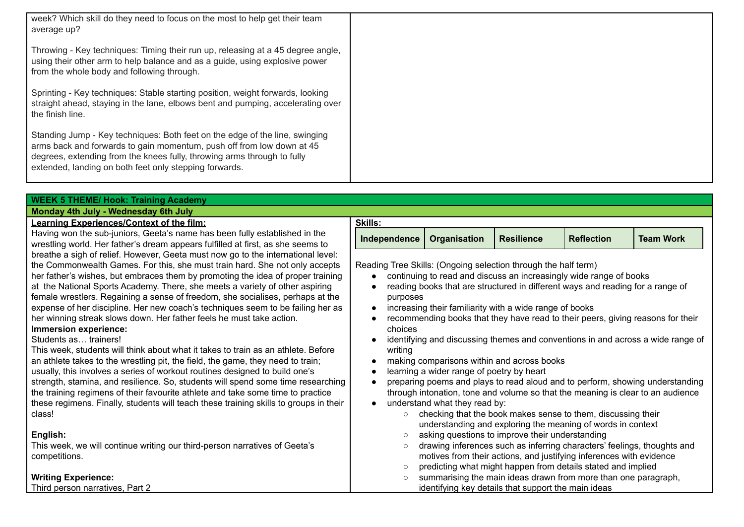| week? Which skill do they need to focus on the most to help get their team<br>average up?                                                                                                                                                                                                 |                                                                                                   |
|-------------------------------------------------------------------------------------------------------------------------------------------------------------------------------------------------------------------------------------------------------------------------------------------|---------------------------------------------------------------------------------------------------|
| Throwing - Key techniques: Timing their run up, releasing at a 45 degree angle,<br>using their other arm to help balance and as a guide, using explosive power<br>from the whole body and following through.                                                                              |                                                                                                   |
| Sprinting - Key techniques: Stable starting position, weight forwards, looking<br>straight ahead, staying in the lane, elbows bent and pumping, accelerating over<br>the finish line.                                                                                                     |                                                                                                   |
| Standing Jump - Key techniques: Both feet on the edge of the line, swinging<br>arms back and forwards to gain momentum, push off from low down at 45<br>degrees, extending from the knees fully, throwing arms through to fully<br>extended, landing on both feet only stepping forwards. |                                                                                                   |
| <b>WEEK 5 THEME/ Hook: Training Academy</b>                                                                                                                                                                                                                                               |                                                                                                   |
| Monday 4th July - Wednesday 6th July                                                                                                                                                                                                                                                      |                                                                                                   |
| <b>Learning Experiences/Context of the film:</b>                                                                                                                                                                                                                                          | <b>Skills:</b>                                                                                    |
| Having won the sub-juniors, Geeta's name has been fully established in the<br>wrestling world. Her father's dream appears fulfilled at first, as she seems to                                                                                                                             | <b>Team Work</b><br><b>Organisation</b><br><b>Resilience</b><br><b>Reflection</b><br>Independence |
| breathe a sigh of relief. However, Geeta must now go to the international level:                                                                                                                                                                                                          |                                                                                                   |

Reading Tree Skills: (Ongoing selection through the half term)

- continuing to read and discuss an increasingly wide range of books
- reading books that are structured in different ways and reading for a range of purposes
- increasing their familiarity with a wide range of books
- recommending books that they have read to their peers, giving reasons for their choices
- identifying and discussing themes and conventions in and across a wide range of writing
- making comparisons within and across books
- learning a wider range of poetry by heart

● preparing poems and plays to read aloud and to perform, showing understanding through intonation, tone and volume so that the meaning is clear to an audience

• understand what they read by:

|         | checking that the book makes sense to them, discussing their            |
|---------|-------------------------------------------------------------------------|
|         | understanding and exploring the meaning of words in context             |
| $\circ$ | asking questions to improve their understanding                         |
| $\circ$ | drawing inferences such as inferring characters' feelings, thoughts and |
|         | motives from their actions, and justifying inferences with evidence     |

- predicting what might happen from details stated and implied
- summarising the main ideas drawn from more than one paragraph, identifying key details that support the main ideas

the Commonwealth Games. For this, she must train hard. She not only accepts her father's wishes, but embraces them by promoting the idea of proper training at the National Sports Academy. There, she meets a variety of other aspiring female wrestlers. Regaining a sense of freedom, she socialises, perhaps at the expense of her discipline. Her new coach's techniques seem to be failing her as her winning streak slows down. Her father feels he must take action. **Immersion experience:**

# Students as… trainers!

This week, students will think about what it takes to train as an athlete. Before an athlete takes to the wrestling pit, the field, the game, they need to train; usually, this involves a series of workout routines designed to build one's strength, stamina, and resilience. So, students will spend some time researching the training regimens of their favourite athlete and take some time to practice these regimens. Finally, students will teach these training skills to groups in their class!

# **English:**

This week, we will continue writing our third-person narratives of Geeta's competitions.

# **Writing Experience:**

Third person narratives, Part 2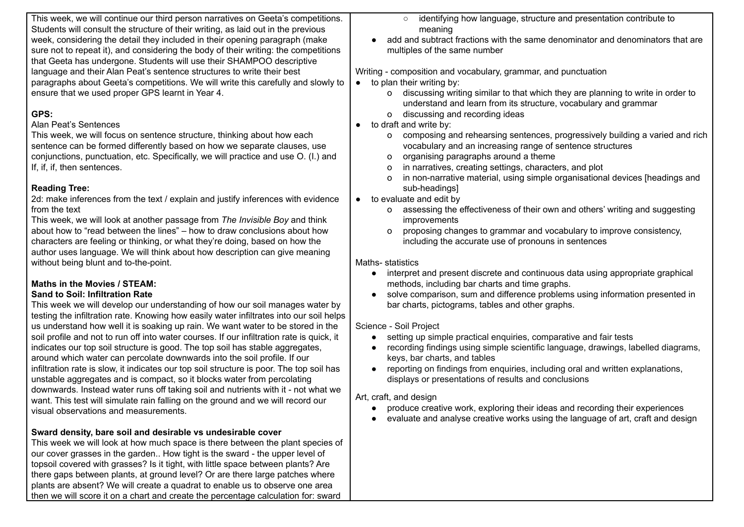| This week, we will continue our third person narratives on Geeta's competitions.                                                                                        | identifying how language, structure and presentation contribute to<br>$\circ$                  |
|-------------------------------------------------------------------------------------------------------------------------------------------------------------------------|------------------------------------------------------------------------------------------------|
| Students will consult the structure of their writing, as laid out in the previous                                                                                       | meaning                                                                                        |
| week, considering the detail they included in their opening paragraph (make                                                                                             | add and subtract fractions with the same denominator and denominators that are                 |
| sure not to repeat it), and considering the body of their writing: the competitions                                                                                     | multiples of the same number                                                                   |
| that Geeta has undergone. Students will use their SHAMPOO descriptive                                                                                                   |                                                                                                |
| language and their Alan Peat's sentence structures to write their best                                                                                                  | Writing - composition and vocabulary, grammar, and punctuation                                 |
| paragraphs about Geeta's competitions. We will write this carefully and slowly to                                                                                       | $\bullet$ to plan their writing by:                                                            |
| ensure that we used proper GPS learnt in Year 4.                                                                                                                        | discussing writing similar to that which they are planning to write in order to<br>$\circ$     |
|                                                                                                                                                                         | understand and learn from its structure, vocabulary and grammar                                |
| GPS:                                                                                                                                                                    | discussing and recording ideas<br>$\mathsf{o}$                                                 |
| Alan Peat's Sentences                                                                                                                                                   | to draft and write by:                                                                         |
| This week, we will focus on sentence structure, thinking about how each                                                                                                 | composing and rehearsing sentences, progressively building a varied and rich<br>$\circ$        |
| sentence can be formed differently based on how we separate clauses, use                                                                                                | vocabulary and an increasing range of sentence structures                                      |
| conjunctions, punctuation, etc. Specifically, we will practice and use O. (I.) and                                                                                      | organising paragraphs around a theme<br>0                                                      |
| If, if, if, then sentences.                                                                                                                                             | in narratives, creating settings, characters, and plot                                         |
|                                                                                                                                                                         | in non-narrative material, using simple organisational devices [headings and<br>O              |
| <b>Reading Tree:</b>                                                                                                                                                    | sub-headings]                                                                                  |
| 2d: make inferences from the text / explain and justify inferences with evidence                                                                                        | • to evaluate and edit by                                                                      |
| from the text                                                                                                                                                           | assessing the effectiveness of their own and others' writing and suggesting<br>$\circ$         |
| This week, we will look at another passage from The Invisible Boy and think                                                                                             | improvements                                                                                   |
| about how to "read between the lines" – how to draw conclusions about how                                                                                               | proposing changes to grammar and vocabulary to improve consistency,<br>o                       |
| characters are feeling or thinking, or what they're doing, based on how the                                                                                             | including the accurate use of pronouns in sentences                                            |
| author uses language. We will think about how description can give meaning                                                                                              |                                                                                                |
| without being blunt and to-the-point.                                                                                                                                   | Maths-statistics                                                                               |
|                                                                                                                                                                         | interpret and present discrete and continuous data using appropriate graphical<br>$\bullet$    |
| Maths in the Movies / STEAM:                                                                                                                                            | methods, including bar charts and time graphs.                                                 |
| <b>Sand to Soil: Infiltration Rate</b>                                                                                                                                  | solve comparison, sum and difference problems using information presented in                   |
| This week we will develop our understanding of how our soil manages water by<br>testing the infiltration rate. Knowing how easily water infiltrates into our soil helps | bar charts, pictograms, tables and other graphs.                                               |
| us understand how well it is soaking up rain. We want water to be stored in the                                                                                         | Science - Soil Project                                                                         |
| soil profile and not to run off into water courses. If our infiltration rate is quick, it                                                                               | setting up simple practical enquiries, comparative and fair tests<br>$\bullet$                 |
| indicates our top soil structure is good. The top soil has stable aggregates,                                                                                           | recording findings using simple scientific language, drawings, labelled diagrams,<br>$\bullet$ |
| around which water can percolate downwards into the soil profile. If our                                                                                                | keys, bar charts, and tables                                                                   |
| infiltration rate is slow, it indicates our top soil structure is poor. The top soil has                                                                                | reporting on findings from enquiries, including oral and written explanations,<br>$\bullet$    |
| unstable aggregates and is compact, so it blocks water from percolating                                                                                                 | displays or presentations of results and conclusions                                           |
| downwards. Instead water runs off taking soil and nutrients with it - not what we                                                                                       |                                                                                                |
| want. This test will simulate rain falling on the ground and we will record our                                                                                         | Art, craft, and design                                                                         |
| visual observations and measurements.                                                                                                                                   | produce creative work, exploring their ideas and recording their experiences                   |
|                                                                                                                                                                         | evaluate and analyse creative works using the language of art, craft and design                |
| Sward density, bare soil and desirable vs undesirable cover                                                                                                             |                                                                                                |
| This week we will look at how much space is there between the plant species of                                                                                          |                                                                                                |
| our cover grasses in the garden How tight is the sward - the upper level of                                                                                             |                                                                                                |
| topsoil covered with grasses? Is it tight, with little space between plants? Are                                                                                        |                                                                                                |
| there gaps between plants, at ground level? Or are there large patches where                                                                                            |                                                                                                |
| plants are absent? We will create a quadrat to enable us to observe one area                                                                                            |                                                                                                |

then we will score it on a chart and create the percentage calculation for: sward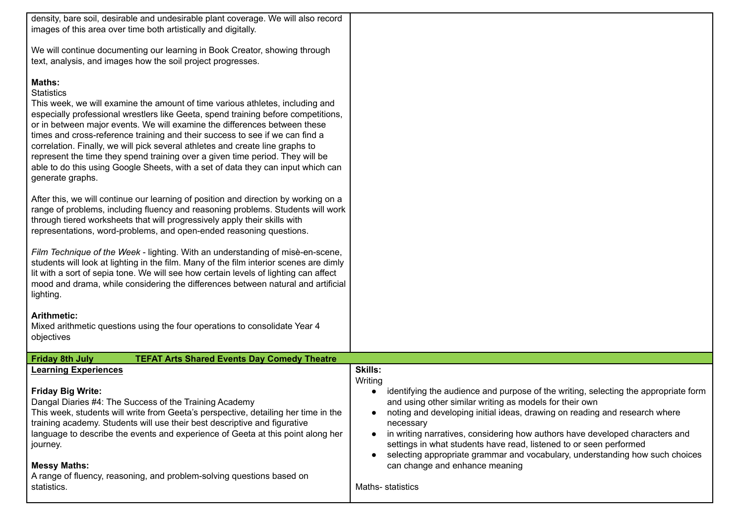| density, bare soil, desirable and undesirable plant coverage. We will also record<br>images of this area over time both artistically and digitally.<br>We will continue documenting our learning in Book Creator, showing through<br>text, analysis, and images how the soil project progresses.<br>Maths:<br><b>Statistics</b><br>This week, we will examine the amount of time various athletes, including and<br>especially professional wrestlers like Geeta, spend training before competitions,<br>or in between major events. We will examine the differences between these<br>times and cross-reference training and their success to see if we can find a<br>correlation. Finally, we will pick several athletes and create line graphs to<br>represent the time they spend training over a given time period. They will be<br>able to do this using Google Sheets, with a set of data they can input which can<br>generate graphs.<br>After this, we will continue our learning of position and direction by working on a<br>range of problems, including fluency and reasoning problems. Students will work<br>through tiered worksheets that will progressively apply their skills with<br>representations, word-problems, and open-ended reasoning questions.<br>Film Technique of the Week - lighting. With an understanding of misè-en-scene,<br>students will look at lighting in the film. Many of the film interior scenes are dimly<br>lit with a sort of sepia tone. We will see how certain levels of lighting can affect<br>mood and drama, while considering the differences between natural and artificial<br>lighting.<br><b>Arithmetic:</b><br>Mixed arithmetic questions using the four operations to consolidate Year 4<br>objectives |                                                                                                                                                                                                                                                                                                                                                                                                                                                                                                                                                               |
|-------------------------------------------------------------------------------------------------------------------------------------------------------------------------------------------------------------------------------------------------------------------------------------------------------------------------------------------------------------------------------------------------------------------------------------------------------------------------------------------------------------------------------------------------------------------------------------------------------------------------------------------------------------------------------------------------------------------------------------------------------------------------------------------------------------------------------------------------------------------------------------------------------------------------------------------------------------------------------------------------------------------------------------------------------------------------------------------------------------------------------------------------------------------------------------------------------------------------------------------------------------------------------------------------------------------------------------------------------------------------------------------------------------------------------------------------------------------------------------------------------------------------------------------------------------------------------------------------------------------------------------------------------------------------------------------------------------------------------------------------------------------|---------------------------------------------------------------------------------------------------------------------------------------------------------------------------------------------------------------------------------------------------------------------------------------------------------------------------------------------------------------------------------------------------------------------------------------------------------------------------------------------------------------------------------------------------------------|
| <b>TEFAT Arts Shared Events Day Comedy Theatre</b><br><b>Friday 8th July</b><br><b>Learning Experiences</b>                                                                                                                                                                                                                                                                                                                                                                                                                                                                                                                                                                                                                                                                                                                                                                                                                                                                                                                                                                                                                                                                                                                                                                                                                                                                                                                                                                                                                                                                                                                                                                                                                                                       | Skills:                                                                                                                                                                                                                                                                                                                                                                                                                                                                                                                                                       |
| <b>Friday Big Write:</b><br>Dangal Diaries #4: The Success of the Training Academy<br>This week, students will write from Geeta's perspective, detailing her time in the<br>training academy. Students will use their best descriptive and figurative<br>language to describe the events and experience of Geeta at this point along her<br>journey.<br><b>Messy Maths:</b><br>A range of fluency, reasoning, and problem-solving questions based on<br>statistics.                                                                                                                                                                                                                                                                                                                                                                                                                                                                                                                                                                                                                                                                                                                                                                                                                                                                                                                                                                                                                                                                                                                                                                                                                                                                                               | Writing<br>identifying the audience and purpose of the writing, selecting the appropriate form<br>and using other similar writing as models for their own<br>noting and developing initial ideas, drawing on reading and research where<br>necessary<br>in writing narratives, considering how authors have developed characters and<br>settings in what students have read, listened to or seen performed<br>selecting appropriate grammar and vocabulary, understanding how such choices<br>$\bullet$<br>can change and enhance meaning<br>Maths-statistics |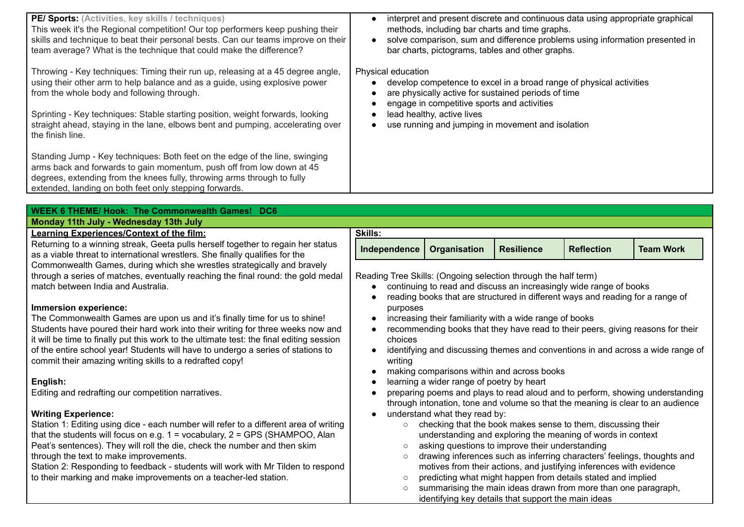| PE/ Sports: (Activities, key skills / techniques)<br>This week it's the Regional competition! Our top performers keep pushing their<br>skills and technique to beat their personal bests. Can our teams improve on their<br>team average? What is the technique that could make the difference?<br>Throwing - Key techniques: Timing their run up, releasing at a 45 degree angle,<br>using their other arm to help balance and as a guide, using explosive power<br>from the whole body and following through.<br>Sprinting - Key techniques: Stable starting position, weight forwards, looking<br>straight ahead, staying in the lane, elbows bent and pumping, accelerating over<br>the finish line.<br>Standing Jump - Key techniques: Both feet on the edge of the line, swinging<br>arms back and forwards to gain momentum, push off from low down at 45<br>degrees, extending from the knees fully, throwing arms through to fully<br>extended, landing on both feet only stepping forwards. | $\bullet$<br>$\bullet$<br>Physical education<br>$\bullet$                                                                                                                                                              | interpret and present discrete and continuous data using appropriate graphical<br>methods, including bar charts and time graphs.<br>solve comparison, sum and difference problems using information presented in<br>bar charts, pictograms, tables and other graphs.<br>develop competence to excel in a broad range of physical activities<br>are physically active for sustained periods of time<br>engage in competitive sports and activities<br>lead healthy, active lives<br>use running and jumping in movement and isolation                                                                                                          |                   |                   |                                                                                 |
|-------------------------------------------------------------------------------------------------------------------------------------------------------------------------------------------------------------------------------------------------------------------------------------------------------------------------------------------------------------------------------------------------------------------------------------------------------------------------------------------------------------------------------------------------------------------------------------------------------------------------------------------------------------------------------------------------------------------------------------------------------------------------------------------------------------------------------------------------------------------------------------------------------------------------------------------------------------------------------------------------------|------------------------------------------------------------------------------------------------------------------------------------------------------------------------------------------------------------------------|-----------------------------------------------------------------------------------------------------------------------------------------------------------------------------------------------------------------------------------------------------------------------------------------------------------------------------------------------------------------------------------------------------------------------------------------------------------------------------------------------------------------------------------------------------------------------------------------------------------------------------------------------|-------------------|-------------------|---------------------------------------------------------------------------------|
|                                                                                                                                                                                                                                                                                                                                                                                                                                                                                                                                                                                                                                                                                                                                                                                                                                                                                                                                                                                                       |                                                                                                                                                                                                                        |                                                                                                                                                                                                                                                                                                                                                                                                                                                                                                                                                                                                                                               |                   |                   |                                                                                 |
| <b>WEEK 6 THEME/ Hook: The Commonwealth Games! DC6</b>                                                                                                                                                                                                                                                                                                                                                                                                                                                                                                                                                                                                                                                                                                                                                                                                                                                                                                                                                |                                                                                                                                                                                                                        |                                                                                                                                                                                                                                                                                                                                                                                                                                                                                                                                                                                                                                               |                   |                   |                                                                                 |
| Monday 11th July - Wednesday 13th July<br>Learning Experiences/Context of the film:                                                                                                                                                                                                                                                                                                                                                                                                                                                                                                                                                                                                                                                                                                                                                                                                                                                                                                                   | <b>Skills:</b>                                                                                                                                                                                                         |                                                                                                                                                                                                                                                                                                                                                                                                                                                                                                                                                                                                                                               |                   |                   |                                                                                 |
| Returning to a winning streak, Geeta pulls herself together to regain her status<br>as a viable threat to international wrestlers. She finally qualifies for the                                                                                                                                                                                                                                                                                                                                                                                                                                                                                                                                                                                                                                                                                                                                                                                                                                      | Independence                                                                                                                                                                                                           | Organisation                                                                                                                                                                                                                                                                                                                                                                                                                                                                                                                                                                                                                                  | <b>Resilience</b> | <b>Reflection</b> | <b>Team Work</b>                                                                |
| Commonwealth Games, during which she wrestles strategically and bravely<br>through a series of matches, eventually reaching the final round: the gold medal<br>match between India and Australia.                                                                                                                                                                                                                                                                                                                                                                                                                                                                                                                                                                                                                                                                                                                                                                                                     | Reading Tree Skills: (Ongoing selection through the half term)<br>continuing to read and discuss an increasingly wide range of books<br>reading books that are structured in different ways and reading for a range of |                                                                                                                                                                                                                                                                                                                                                                                                                                                                                                                                                                                                                                               |                   |                   |                                                                                 |
| Immersion experience:<br>The Commonwealth Games are upon us and it's finally time for us to shine!<br>Students have poured their hard work into their writing for three weeks now and<br>it will be time to finally put this work to the ultimate test: the final editing session<br>of the entire school year! Students will have to undergo a series of stations to<br>commit their amazing writing skills to a redrafted copy!                                                                                                                                                                                                                                                                                                                                                                                                                                                                                                                                                                     | purposes<br>choices<br>$\bullet$<br>writing                                                                                                                                                                            | increasing their familiarity with a wide range of books<br>recommending books that they have read to their peers, giving reasons for their<br>making comparisons within and across books                                                                                                                                                                                                                                                                                                                                                                                                                                                      |                   |                   | identifying and discussing themes and conventions in and across a wide range of |
| English:<br>Editing and redrafting our competition narratives.                                                                                                                                                                                                                                                                                                                                                                                                                                                                                                                                                                                                                                                                                                                                                                                                                                                                                                                                        |                                                                                                                                                                                                                        | learning a wider range of poetry by heart                                                                                                                                                                                                                                                                                                                                                                                                                                                                                                                                                                                                     |                   |                   | preparing poems and plays to read aloud and to perform, showing understanding   |
| <b>Writing Experience:</b><br>Station 1: Editing using dice - each number will refer to a different area of writing<br>that the students will focus on e.g. $1 =$ vocabulary, $2 =$ GPS (SHAMPOO, Alan<br>Peat's sentences). They will roll the die, check the number and then skim<br>through the text to make improvements.<br>Station 2: Responding to feedback - students will work with Mr Tilden to respond<br>to their marking and make improvements on a teacher-led station.                                                                                                                                                                                                                                                                                                                                                                                                                                                                                                                 | $\circ$<br>$\circ$<br>$\circ$<br>$\circ$                                                                                                                                                                               | through intonation, tone and volume so that the meaning is clear to an audience<br>understand what they read by:<br>checking that the book makes sense to them, discussing their<br>understanding and exploring the meaning of words in context<br>asking questions to improve their understanding<br>drawing inferences such as inferring characters' feelings, thoughts and<br>motives from their actions, and justifying inferences with evidence<br>predicting what might happen from details stated and implied<br>summarising the main ideas drawn from more than one paragraph,<br>identifying key details that support the main ideas |                   |                   |                                                                                 |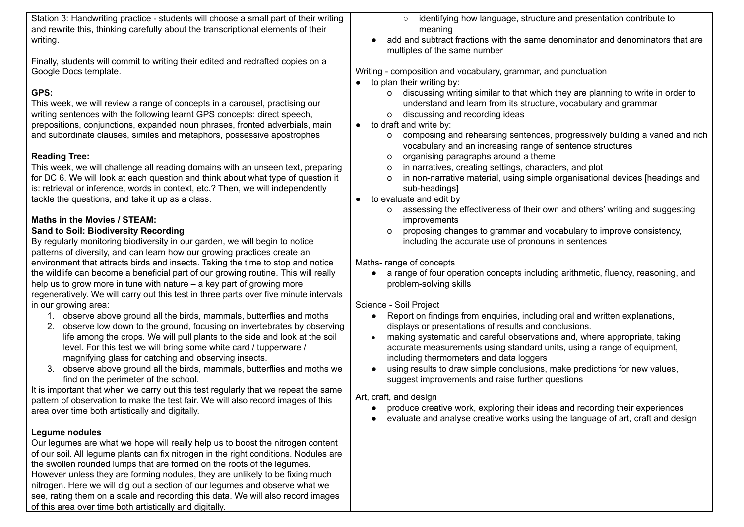| Station 3: Handwriting practice - students will choose a small part of their writing<br>and rewrite this, thinking carefully about the transcriptional elements of their<br>writing.                                                                                                                                                                                                                                                                                                                                                                                                                                                                                                                                                                                                                                                                                                                                                                                                                                                                                                                                                                                                                                                                                                                                                                                                                                                                                                                                                                                                                                                                                                                                                                                                                                                                                                                                                                                                                                    | $\circ$ identifying how language, structure and presentation contribute to<br>meaning<br>add and subtract fractions with the same denominator and denominators that are                                                                                                                                                                                                                                                                                                                                                                                                                                                                                                                                                                                                                                                                                                                                                                                                                                                                                                                                                                                                                                                                                                                                                                                                                                                                                                                                                                                                                                                                                                                                                                                                                    |
|-------------------------------------------------------------------------------------------------------------------------------------------------------------------------------------------------------------------------------------------------------------------------------------------------------------------------------------------------------------------------------------------------------------------------------------------------------------------------------------------------------------------------------------------------------------------------------------------------------------------------------------------------------------------------------------------------------------------------------------------------------------------------------------------------------------------------------------------------------------------------------------------------------------------------------------------------------------------------------------------------------------------------------------------------------------------------------------------------------------------------------------------------------------------------------------------------------------------------------------------------------------------------------------------------------------------------------------------------------------------------------------------------------------------------------------------------------------------------------------------------------------------------------------------------------------------------------------------------------------------------------------------------------------------------------------------------------------------------------------------------------------------------------------------------------------------------------------------------------------------------------------------------------------------------------------------------------------------------------------------------------------------------|--------------------------------------------------------------------------------------------------------------------------------------------------------------------------------------------------------------------------------------------------------------------------------------------------------------------------------------------------------------------------------------------------------------------------------------------------------------------------------------------------------------------------------------------------------------------------------------------------------------------------------------------------------------------------------------------------------------------------------------------------------------------------------------------------------------------------------------------------------------------------------------------------------------------------------------------------------------------------------------------------------------------------------------------------------------------------------------------------------------------------------------------------------------------------------------------------------------------------------------------------------------------------------------------------------------------------------------------------------------------------------------------------------------------------------------------------------------------------------------------------------------------------------------------------------------------------------------------------------------------------------------------------------------------------------------------------------------------------------------------------------------------------------------------|
| Finally, students will commit to writing their edited and redrafted copies on a<br>Google Docs template.                                                                                                                                                                                                                                                                                                                                                                                                                                                                                                                                                                                                                                                                                                                                                                                                                                                                                                                                                                                                                                                                                                                                                                                                                                                                                                                                                                                                                                                                                                                                                                                                                                                                                                                                                                                                                                                                                                                | multiples of the same number<br>Writing - composition and vocabulary, grammar, and punctuation                                                                                                                                                                                                                                                                                                                                                                                                                                                                                                                                                                                                                                                                                                                                                                                                                                                                                                                                                                                                                                                                                                                                                                                                                                                                                                                                                                                                                                                                                                                                                                                                                                                                                             |
| GPS:<br>This week, we will review a range of concepts in a carousel, practising our<br>writing sentences with the following learnt GPS concepts: direct speech,<br>prepositions, conjunctions, expanded noun phrases, fronted adverbials, main<br>and subordinate clauses, similes and metaphors, possessive apostrophes<br><b>Reading Tree:</b><br>This week, we will challenge all reading domains with an unseen text, preparing<br>for DC 6. We will look at each question and think about what type of question it<br>is: retrieval or inference, words in context, etc.? Then, we will independently<br>tackle the questions, and take it up as a class.<br>Maths in the Movies / STEAM:<br><b>Sand to Soil: Biodiversity Recording</b><br>By regularly monitoring biodiversity in our garden, we will begin to notice<br>patterns of diversity, and can learn how our growing practices create an<br>environment that attracts birds and insects. Taking the time to stop and notice<br>the wildlife can become a beneficial part of our growing routine. This will really<br>help us to grow more in tune with nature $-$ a key part of growing more<br>regeneratively. We will carry out this test in three parts over five minute intervals<br>in our growing area:<br>1. observe above ground all the birds, mammals, butterflies and moths<br>observe low down to the ground, focusing on invertebrates by observing<br>2.<br>life among the crops. We will pull plants to the side and look at the soil<br>level. For this test we will bring some white card / tupperware /<br>magnifying glass for catching and observing insects.<br>observe above ground all the birds, mammals, butterflies and moths we<br>3.<br>find on the perimeter of the school.<br>It is important that when we carry out this test regularly that we repeat the same<br>pattern of observation to make the test fair. We will also record images of this<br>area over time both artistically and digitally.<br>Legume nodules | to plan their writing by:<br>discussing writing similar to that which they are planning to write in order to<br>O<br>understand and learn from its structure, vocabulary and grammar<br>discussing and recording ideas<br>$\mathsf{o}$<br>to draft and write by:<br>$\bullet$<br>composing and rehearsing sentences, progressively building a varied and rich<br>0<br>vocabulary and an increasing range of sentence structures<br>organising paragraphs around a theme<br>0<br>in narratives, creating settings, characters, and plot<br>0<br>in non-narrative material, using simple organisational devices [headings and<br>0<br>sub-headings]<br>to evaluate and edit by<br>assessing the effectiveness of their own and others' writing and suggesting<br>$\mathsf{o}$<br>improvements<br>proposing changes to grammar and vocabulary to improve consistency,<br>0<br>including the accurate use of pronouns in sentences<br>Maths-range of concepts<br>a range of four operation concepts including arithmetic, fluency, reasoning, and<br>problem-solving skills<br>Science - Soil Project<br>• Report on findings from enquiries, including oral and written explanations,<br>displays or presentations of results and conclusions.<br>making systematic and careful observations and, where appropriate, taking<br>$\bullet$<br>accurate measurements using standard units, using a range of equipment,<br>including thermometers and data loggers<br>using results to draw simple conclusions, make predictions for new values,<br>suggest improvements and raise further questions<br>Art, craft, and design<br>produce creative work, exploring their ideas and recording their experiences<br>evaluate and analyse creative works using the language of art, craft and design |
| Our legumes are what we hope will really help us to boost the nitrogen content<br>of our soil. All legume plants can fix nitrogen in the right conditions. Nodules are<br>the swollen rounded lumps that are formed on the roots of the legumes.<br>However unless they are forming nodules, they are unlikely to be fixing much<br>nitrogen. Here we will dig out a section of our legumes and observe what we                                                                                                                                                                                                                                                                                                                                                                                                                                                                                                                                                                                                                                                                                                                                                                                                                                                                                                                                                                                                                                                                                                                                                                                                                                                                                                                                                                                                                                                                                                                                                                                                         |                                                                                                                                                                                                                                                                                                                                                                                                                                                                                                                                                                                                                                                                                                                                                                                                                                                                                                                                                                                                                                                                                                                                                                                                                                                                                                                                                                                                                                                                                                                                                                                                                                                                                                                                                                                            |

see, rating them on a scale and recording this data. We will also record images

of this area over time both artistically and digitally.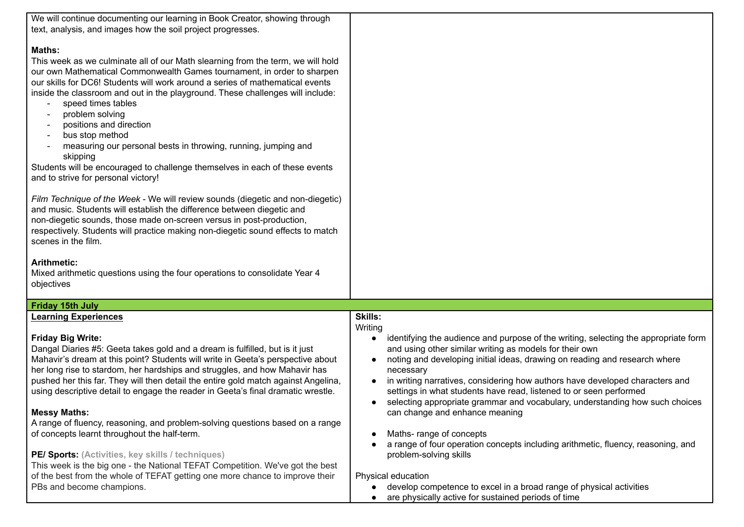| We will continue documenting our learning in Book Creator, showing through         |                                                                                                  |
|------------------------------------------------------------------------------------|--------------------------------------------------------------------------------------------------|
| text, analysis, and images how the soil project progresses.                        |                                                                                                  |
|                                                                                    |                                                                                                  |
| <b>Maths:</b>                                                                      |                                                                                                  |
| This week as we culminate all of our Math slearning from the term, we will hold    |                                                                                                  |
| our own Mathematical Commonwealth Games tournament, in order to sharpen            |                                                                                                  |
| our skills for DC6! Students will work around a series of mathematical events      |                                                                                                  |
| inside the classroom and out in the playground. These challenges will include:     |                                                                                                  |
| speed times tables                                                                 |                                                                                                  |
| problem solving                                                                    |                                                                                                  |
|                                                                                    |                                                                                                  |
| positions and direction                                                            |                                                                                                  |
| bus stop method                                                                    |                                                                                                  |
| measuring our personal bests in throwing, running, jumping and                     |                                                                                                  |
| skipping                                                                           |                                                                                                  |
| Students will be encouraged to challenge themselves in each of these events        |                                                                                                  |
| and to strive for personal victory!                                                |                                                                                                  |
|                                                                                    |                                                                                                  |
| Film Technique of the Week - We will review sounds (diegetic and non-diegetic)     |                                                                                                  |
| and music. Students will establish the difference between diegetic and             |                                                                                                  |
| non-diegetic sounds, those made on-screen versus in post-production,               |                                                                                                  |
| respectively. Students will practice making non-diegetic sound effects to match    |                                                                                                  |
| scenes in the film.                                                                |                                                                                                  |
|                                                                                    |                                                                                                  |
| <b>Arithmetic:</b>                                                                 |                                                                                                  |
| Mixed arithmetic questions using the four operations to consolidate Year 4         |                                                                                                  |
| objectives                                                                         |                                                                                                  |
|                                                                                    |                                                                                                  |
| <b>Friday 15th July</b>                                                            |                                                                                                  |
| <b>Learning Experiences</b>                                                        | <b>Skills:</b>                                                                                   |
|                                                                                    | Writing                                                                                          |
| <b>Friday Big Write:</b>                                                           | identifying the audience and purpose of the writing, selecting the appropriate form<br>$\bullet$ |
| Dangal Diaries #5: Geeta takes gold and a dream is fulfilled, but is it just       | and using other similar writing as models for their own                                          |
| Mahavir's dream at this point? Students will write in Geeta's perspective about    | noting and developing initial ideas, drawing on reading and research where                       |
| her long rise to stardom, her hardships and struggles, and how Mahavir has         | necessary                                                                                        |
| pushed her this far. They will then detail the entire gold match against Angelina, | in writing narratives, considering how authors have developed characters and                     |
| using descriptive detail to engage the reader in Geeta's final dramatic wrestle.   | settings in what students have read, listened to or seen performed                               |
|                                                                                    | selecting appropriate grammar and vocabulary, understanding how such choices                     |
| <b>Messy Maths:</b>                                                                | can change and enhance meaning                                                                   |
| A range of fluency, reasoning, and problem-solving questions based on a range      |                                                                                                  |
| of concepts learnt throughout the half-term.                                       | Maths-range of concepts                                                                          |
|                                                                                    | a range of four operation concepts including arithmetic, fluency, reasoning, and                 |
| PE/ Sports: (Activities, key skills / techniques)                                  | problem-solving skills                                                                           |
| This week is the big one - the National TEFAT Competition. We've got the best      |                                                                                                  |
| of the best from the whole of TEFAT getting one more chance to improve their       | Physical education                                                                               |
| PBs and become champions.                                                          |                                                                                                  |
|                                                                                    | develop competence to excel in a broad range of physical activities                              |
|                                                                                    | are physically active for sustained periods of time                                              |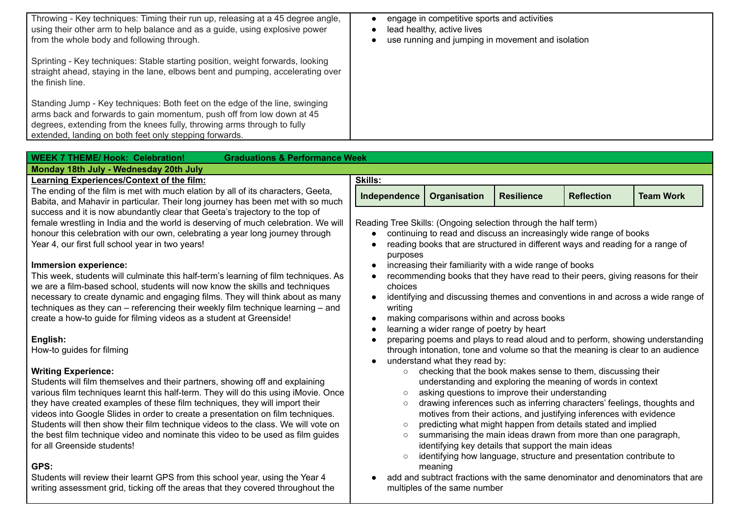| Throwing - Key techniques: Timing their run up, releasing at a 45 degree angle,<br>using their other arm to help balance and as a guide, using explosive power                                                                                                                            | engage in competitive sports and activities<br>lead healthy, active lives |
|-------------------------------------------------------------------------------------------------------------------------------------------------------------------------------------------------------------------------------------------------------------------------------------------|---------------------------------------------------------------------------|
| from the whole body and following through.<br>Sprinting - Key techniques: Stable starting position, weight forwards, looking<br>straight ahead, staying in the lane, elbows bent and pumping, accelerating over<br>the finish line.                                                       | use running and jumping in movement and isolation                         |
| Standing Jump - Key techniques: Both feet on the edge of the line, swinging<br>arms back and forwards to gain momentum, push off from low down at 45<br>degrees, extending from the knees fully, throwing arms through to fully<br>extended, landing on both feet only stepping forwards. |                                                                           |
|                                                                                                                                                                                                                                                                                           |                                                                           |
| <b>WEEK 7 THEME/ Hook: Celebration!</b><br><b>Graduations &amp; Performance Week</b>                                                                                                                                                                                                      |                                                                           |
| Monday 18th July - Wednesday 20th July                                                                                                                                                                                                                                                    |                                                                           |
| <b>Learning Experiences/Context of the film:</b>                                                                                                                                                                                                                                          | <b>Skills:</b>                                                            |

The ending of the film is met with much elation by all of its characters, Geeta Babita, and Mahavir in particular. Their long journey has been met with so no success and it is now abundantly clear that Geeta's trajectory to the top of female wrestling in India and the world is deserving of much celebration. We honour this celebration with our own, celebrating a year long journey through Year 4, our first full school year in two years!

#### **Immersion experience:**

This week, students will culminate this half-term's learning of film techniques we are a film-based school, students will now know the skills and techniques necessary to create dynamic and engaging films. They will think about as m techniques as they can – referencing their weekly film technique learning – create a how-to guide for filming videos as a student at Greenside!

### **English:**

How-to guides for filming

### **Writing Experience:**

Students will film themselves and their partners, showing off and explaining various film techniques learnt this half-term. They will do this using iMovie. they have created examples of these film techniques, they will import their videos into Google Slides in order to create a presentation on film technique Students will then show their film technique videos to the class. We will vote the best film technique video and nominate this video to be used as film quides for all Greenside students!

## **GPS:**

Students will review their learnt GPS from this school year, using the Year 4 writing assessment grid, ticking off the areas that they covered throughout the

|              | Skills:                                                                                                                                                                                                                    |                                                                                                                                                                                                                                                                                   |                   |                   |                  |
|--------------|----------------------------------------------------------------------------------------------------------------------------------------------------------------------------------------------------------------------------|-----------------------------------------------------------------------------------------------------------------------------------------------------------------------------------------------------------------------------------------------------------------------------------|-------------------|-------------------|------------------|
| а,<br>nuch   | Independence                                                                                                                                                                                                               | Organisation                                                                                                                                                                                                                                                                      | <b>Resilience</b> | <b>Reflection</b> | <b>Team Work</b> |
| e will<br>ıh | purposes<br>$\bullet$                                                                                                                                                                                                      | Reading Tree Skills: (Ongoing selection through the half term)<br>continuing to read and discuss an increasingly wide range of books<br>reading books that are structured in different ways and reading for a range of<br>increasing their familiarity with a wide range of books |                   |                   |                  |
| s. As<br>۱S  | choices                                                                                                                                                                                                                    | recommending books that they have read to their peers, giving reasons for their                                                                                                                                                                                                   |                   |                   |                  |
| any<br>and   | writing<br>$\bullet$<br>$\bullet$                                                                                                                                                                                          | identifying and discussing themes and conventions in and across a wide range of<br>making comparisons within and across books                                                                                                                                                     |                   |                   |                  |
|              | learning a wider range of poetry by heart<br>preparing poems and plays to read aloud and to perform, showing understanding<br>$\bullet$<br>through intonation, tone and volume so that the meaning is clear to an audience |                                                                                                                                                                                                                                                                                   |                   |                   |                  |
|              | $\circ$                                                                                                                                                                                                                    | understand what they read by:<br>checking that the book makes sense to them, discussing their<br>understanding and exploring the meaning of words in context                                                                                                                      |                   |                   |                  |
| Once         | $\circ$<br>$\circ$                                                                                                                                                                                                         | asking questions to improve their understanding<br>drawing inferences such as inferring characters' feelings, thoughts and                                                                                                                                                        |                   |                   |                  |
| эs.          |                                                                                                                                                                                                                            | motives from their actions, and justifying inferences with evidence                                                                                                                                                                                                               |                   |                   |                  |
| e on         | $\circ$                                                                                                                                                                                                                    | predicting what might happen from details stated and implied                                                                                                                                                                                                                      |                   |                   |                  |
| des          | $\circ$<br>$\circ$                                                                                                                                                                                                         | summarising the main ideas drawn from more than one paragraph,<br>identifying key details that support the main ideas<br>identifying how language, structure and presentation contribute to                                                                                       |                   |                   |                  |
| he           |                                                                                                                                                                                                                            | meaning<br>add and subtract fractions with the same denominator and denominators that are<br>multiples of the same number                                                                                                                                                         |                   |                   |                  |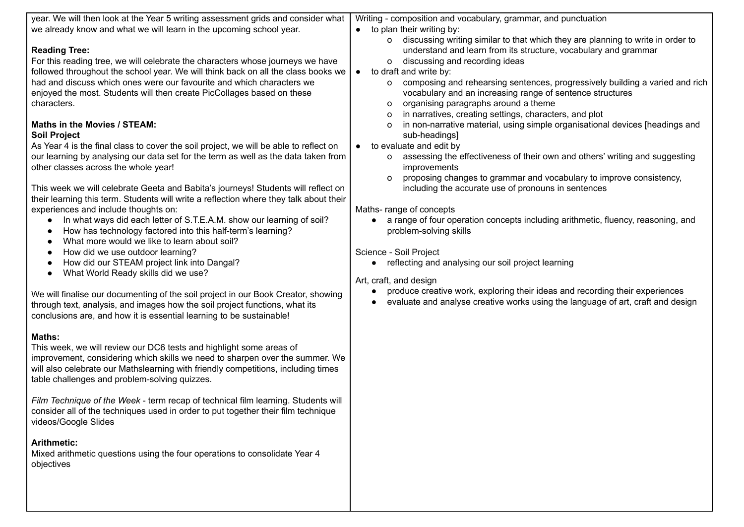| year. We will then look at the Year 5 writing assessment grids and consider what                                                                                                                                                                                                                                                                                                                                                                                                                                                                                                                                                                                                                                                                                                                                                                                                                                                                                                                                                                                                                                                                                                                                                                                                                                                                                                                                                 | Writing - composition and vocabulary, grammar, and punctuation                                                                                                                                                                                                                                                                                                                                                                                                                                                                                                                                                                                                                                                                                                                                                                                                                                                                                                                                                                                                                                                                                                                                                                                                                                         |
|----------------------------------------------------------------------------------------------------------------------------------------------------------------------------------------------------------------------------------------------------------------------------------------------------------------------------------------------------------------------------------------------------------------------------------------------------------------------------------------------------------------------------------------------------------------------------------------------------------------------------------------------------------------------------------------------------------------------------------------------------------------------------------------------------------------------------------------------------------------------------------------------------------------------------------------------------------------------------------------------------------------------------------------------------------------------------------------------------------------------------------------------------------------------------------------------------------------------------------------------------------------------------------------------------------------------------------------------------------------------------------------------------------------------------------|--------------------------------------------------------------------------------------------------------------------------------------------------------------------------------------------------------------------------------------------------------------------------------------------------------------------------------------------------------------------------------------------------------------------------------------------------------------------------------------------------------------------------------------------------------------------------------------------------------------------------------------------------------------------------------------------------------------------------------------------------------------------------------------------------------------------------------------------------------------------------------------------------------------------------------------------------------------------------------------------------------------------------------------------------------------------------------------------------------------------------------------------------------------------------------------------------------------------------------------------------------------------------------------------------------|
| we already know and what we will learn in the upcoming school year.                                                                                                                                                                                                                                                                                                                                                                                                                                                                                                                                                                                                                                                                                                                                                                                                                                                                                                                                                                                                                                                                                                                                                                                                                                                                                                                                                              | $\bullet$ to plan their writing by:                                                                                                                                                                                                                                                                                                                                                                                                                                                                                                                                                                                                                                                                                                                                                                                                                                                                                                                                                                                                                                                                                                                                                                                                                                                                    |
| <b>Reading Tree:</b><br>For this reading tree, we will celebrate the characters whose journeys we have<br>followed throughout the school year. We will think back on all the class books we<br>had and discuss which ones were our favourite and which characters we<br>enjoyed the most. Students will then create PicCollages based on these<br>characters.<br>Maths in the Movies / STEAM:<br><b>Soil Project</b><br>As Year 4 is the final class to cover the soil project, we will be able to reflect on<br>our learning by analysing our data set for the term as well as the data taken from<br>other classes across the whole year!<br>This week we will celebrate Geeta and Babita's journeys! Students will reflect on<br>their learning this term. Students will write a reflection where they talk about their<br>experiences and include thoughts on:<br>In what ways did each letter of S.T.E.A.M. show our learning of soil?<br>How has technology factored into this half-term's learning?<br>What more would we like to learn about soil?<br>How did we use outdoor learning?<br>How did our STEAM project link into Dangal?<br>What World Ready skills did we use?<br>We will finalise our documenting of the soil project in our Book Creator, showing<br>through text, analysis, and images how the soil project functions, what its<br>conclusions are, and how it is essential learning to be sustainable! | o discussing writing similar to that which they are planning to write in order to<br>understand and learn from its structure, vocabulary and grammar<br>o discussing and recording ideas<br>$\bullet$ to draft and write by:<br>composing and rehearsing sentences, progressively building a varied and rich<br>$\circ$<br>vocabulary and an increasing range of sentence structures<br>organising paragraphs around a theme<br>o<br>in narratives, creating settings, characters, and plot<br>O<br>in non-narrative material, using simple organisational devices [headings and<br>o<br>sub-headings]<br>• to evaluate and edit by<br>assessing the effectiveness of their own and others' writing and suggesting<br>$\circ$<br>improvements<br>proposing changes to grammar and vocabulary to improve consistency,<br>0<br>including the accurate use of pronouns in sentences<br>Maths-range of concepts<br>a range of four operation concepts including arithmetic, fluency, reasoning, and<br>problem-solving skills<br>Science - Soil Project<br>reflecting and analysing our soil project learning<br>Art, craft, and design<br>produce creative work, exploring their ideas and recording their experiences<br>evaluate and analyse creative works using the language of art, craft and design |
| Maths:<br>This week, we will review our DC6 tests and highlight some areas of<br>improvement, considering which skills we need to sharpen over the summer. We<br>will also celebrate our Mathslearning with friendly competitions, including times<br>table challenges and problem-solving quizzes.                                                                                                                                                                                                                                                                                                                                                                                                                                                                                                                                                                                                                                                                                                                                                                                                                                                                                                                                                                                                                                                                                                                              |                                                                                                                                                                                                                                                                                                                                                                                                                                                                                                                                                                                                                                                                                                                                                                                                                                                                                                                                                                                                                                                                                                                                                                                                                                                                                                        |
| Film Technique of the Week - term recap of technical film learning. Students will<br>consider all of the techniques used in order to put together their film technique<br>videos/Google Slides                                                                                                                                                                                                                                                                                                                                                                                                                                                                                                                                                                                                                                                                                                                                                                                                                                                                                                                                                                                                                                                                                                                                                                                                                                   |                                                                                                                                                                                                                                                                                                                                                                                                                                                                                                                                                                                                                                                                                                                                                                                                                                                                                                                                                                                                                                                                                                                                                                                                                                                                                                        |
| <b>Arithmetic:</b><br>Mixed arithmetic questions using the four operations to consolidate Year 4<br>objectives                                                                                                                                                                                                                                                                                                                                                                                                                                                                                                                                                                                                                                                                                                                                                                                                                                                                                                                                                                                                                                                                                                                                                                                                                                                                                                                   |                                                                                                                                                                                                                                                                                                                                                                                                                                                                                                                                                                                                                                                                                                                                                                                                                                                                                                                                                                                                                                                                                                                                                                                                                                                                                                        |